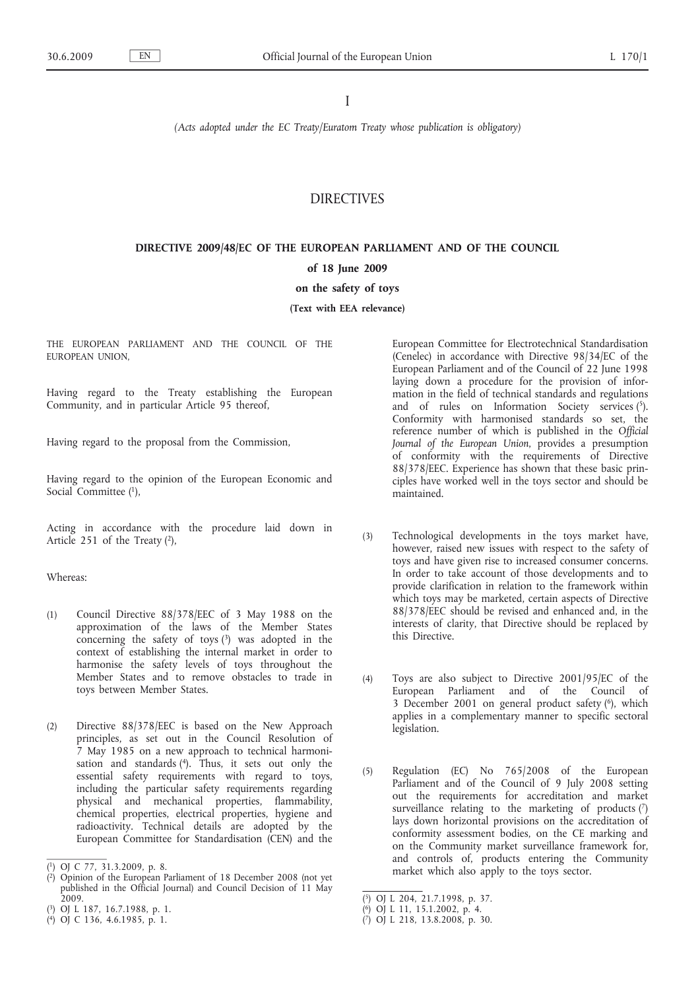I

*(Acts adopted under the EC Treaty/Euratom Treaty whose publication is obligatory)*

## DIRECTIVES

# **DIRECTIVE 2009/48/EC OF THE EUROPEAN PARLIAMENT AND OF THE COUNCIL of 18 June 2009**

## **on the safety of toys**

### **(Text with EEA relevance)**

THE EUROPEAN PARLIAMENT AND THE COUNCIL OF THE EUROPEAN UNION,

Having regard to the Treaty establishing the European Community, and in particular Article 95 thereof,

Having regard to the proposal from the Commission,

Having regard to the opinion of the European Economic and Social Committee (1),

Acting in accordance with the procedure laid down in Article 251 of the Treaty (2),

### Whereas:

- (1) Council Directive 88/378/EEC of 3 May 1988 on the approximation of the laws of the Member States concerning the safety of toys  $(3)$  was adopted in the context of establishing the internal market in order to harmonise the safety levels of toys throughout the Member States and to remove obstacles to trade in toys between Member States.
- (2) Directive 88/378/EEC is based on the New Approach principles, as set out in the Council Resolution of 7 May 1985 on a new approach to technical harmonisation and standards (4). Thus, it sets out only the essential safety requirements with regard to toys, including the particular safety requirements regarding physical and mechanical properties, flammability, chemical properties, electrical properties, hygiene and radioactivity. Technical details are adopted by the European Committee for Standardisation (CEN) and the

European Committee for Electrotechnical Standardisation (Cenelec) in accordance with Directive 98/34/EC of the European Parliament and of the Council of 22 June 1998 laying down a procedure for the provision of information in the field of technical standards and regulations and of rules on Information Society services  $(5)$ . Conformity with harmonised standards so set, the reference number of which is published in the *Official Journal of the European Union*, provides a presumption of conformity with the requirements of Directive 88/378/EEC. Experience has shown that these basic principles have worked well in the toys sector and should be maintained.

- (3) Technological developments in the toys market have, however, raised new issues with respect to the safety of toys and have given rise to increased consumer concerns. In order to take account of those developments and to provide clarification in relation to the framework within which toys may be marketed, certain aspects of Directive 88/378/EEC should be revised and enhanced and, in the interests of clarity, that Directive should be replaced by this Directive.
- (4) Toys are also subject to Directive 2001/95/EC of the European Parliament and of the Council of 3 December 2001 on general product safety  $(6)$ , which applies in a complementary manner to specific sectoral legislation.
- (5) Regulation (EC) No 765/2008 of the European Parliament and of the Council of 9 July 2008 setting out the requirements for accreditation and market surveillance relating to the marketing of products  $(7)$ lays down horizontal provisions on the accreditation of conformity assessment bodies, on the CE marking and on the Community market surveillance framework for, and controls of, products entering the Community market which also apply to the toys sector.

<sup>(</sup> 1) OJ C 77, 31.3.2009, p. 8.

<sup>(</sup> 2) Opinion of the European Parliament of 18 December 2008 (not yet published in the Official Journal) and Council Decision of 11 May  $2009.$ 

<sup>(</sup> 3) OJ L 187, 16.7.1988, p. 1.

<sup>(</sup> 4) OJ C 136, 4.6.1985, p. 1.

<sup>(</sup> 5) OJ L 204, 21.7.1998, p. 37.

<sup>(</sup> 6) OJ L 11, 15.1.2002, p. 4.

<sup>(</sup> 7) OJ L 218, 13.8.2008, p. 30.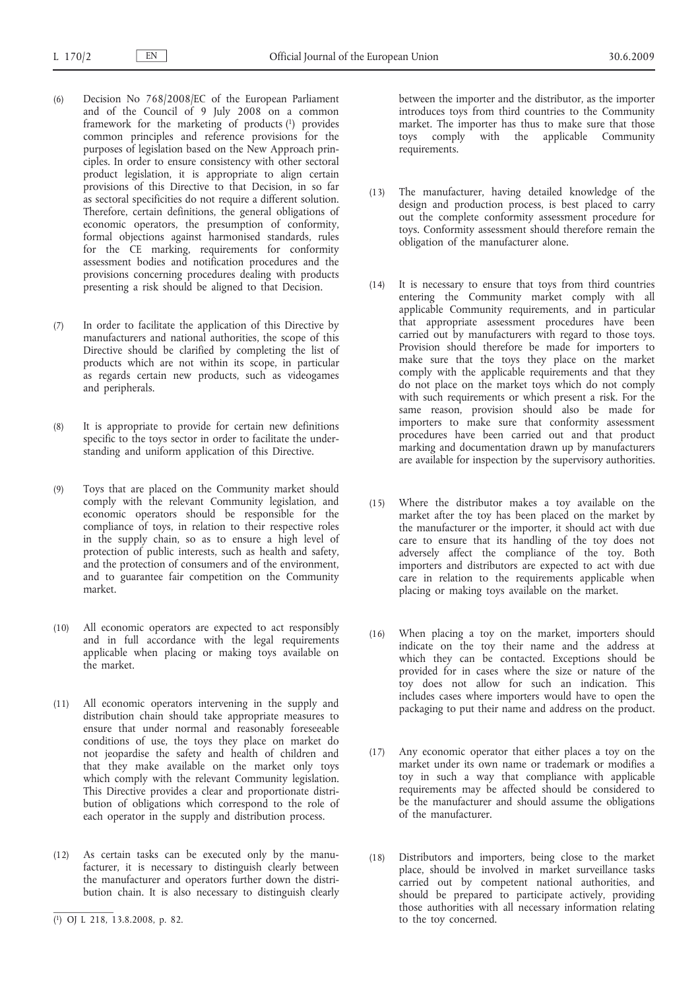- (6) Decision No 768/2008/EC of the European Parliament and of the Council of 9 July 2008 on a common framework for the marketing of products (1) provides common principles and reference provisions for the purposes of legislation based on the New Approach principles. In order to ensure consistency with other sectoral product legislation, it is appropriate to align certain provisions of this Directive to that Decision, in so far as sectoral specificities do not require a different solution. Therefore, certain definitions, the general obligations of economic operators, the presumption of conformity, formal objections against harmonised standards, rules for the CE marking, requirements for conformity assessment bodies and notification procedures and the provisions concerning procedures dealing with products presenting a risk should be aligned to that Decision.
- (7) In order to facilitate the application of this Directive by manufacturers and national authorities, the scope of this Directive should be clarified by completing the list of products which are not within its scope, in particular as regards certain new products, such as videogames and peripherals.
- (8) It is appropriate to provide for certain new definitions specific to the toys sector in order to facilitate the understanding and uniform application of this Directive.
- (9) Toys that are placed on the Community market should comply with the relevant Community legislation, and economic operators should be responsible for the compliance of toys, in relation to their respective roles in the supply chain, so as to ensure a high level of protection of public interests, such as health and safety, and the protection of consumers and of the environment, and to guarantee fair competition on the Community market.
- (10) All economic operators are expected to act responsibly and in full accordance with the legal requirements applicable when placing or making toys available on the market.
- (11) All economic operators intervening in the supply and distribution chain should take appropriate measures to ensure that under normal and reasonably foreseeable conditions of use, the toys they place on market do not jeopardise the safety and health of children and that they make available on the market only toys which comply with the relevant Community legislation. This Directive provides a clear and proportionate distribution of obligations which correspond to the role of each operator in the supply and distribution process.
- (12) As certain tasks can be executed only by the manufacturer, it is necessary to distinguish clearly between the manufacturer and operators further down the distribution chain. It is also necessary to distinguish clearly

between the importer and the distributor, as the importer introduces toys from third countries to the Community market. The importer has thus to make sure that those toys comply with the applicable Community requirements.

- (13) The manufacturer, having detailed knowledge of the design and production process, is best placed to carry out the complete conformity assessment procedure for toys. Conformity assessment should therefore remain the obligation of the manufacturer alone.
- (14) It is necessary to ensure that toys from third countries entering the Community market comply with all applicable Community requirements, and in particular that appropriate assessment procedures have been carried out by manufacturers with regard to those toys. Provision should therefore be made for importers to make sure that the toys they place on the market comply with the applicable requirements and that they do not place on the market toys which do not comply with such requirements or which present a risk. For the same reason, provision should also be made for importers to make sure that conformity assessment procedures have been carried out and that product marking and documentation drawn up by manufacturers are available for inspection by the supervisory authorities.
- (15) Where the distributor makes a toy available on the market after the toy has been placed on the market by the manufacturer or the importer, it should act with due care to ensure that its handling of the toy does not adversely affect the compliance of the toy. Both importers and distributors are expected to act with due care in relation to the requirements applicable when placing or making toys available on the market.
- (16) When placing a toy on the market, importers should indicate on the toy their name and the address at which they can be contacted. Exceptions should be provided for in cases where the size or nature of the toy does not allow for such an indication. This includes cases where importers would have to open the packaging to put their name and address on the product.
- (17) Any economic operator that either places a toy on the market under its own name or trademark or modifies a toy in such a way that compliance with applicable requirements may be affected should be considered to be the manufacturer and should assume the obligations of the manufacturer.
- (18) Distributors and importers, being close to the market place, should be involved in market surveillance tasks carried out by competent national authorities, and should be prepared to participate actively, providing those authorities with all necessary information relating to the toy concerned.

<sup>(</sup> 1) OJ L 218, 13.8.2008, p. 82.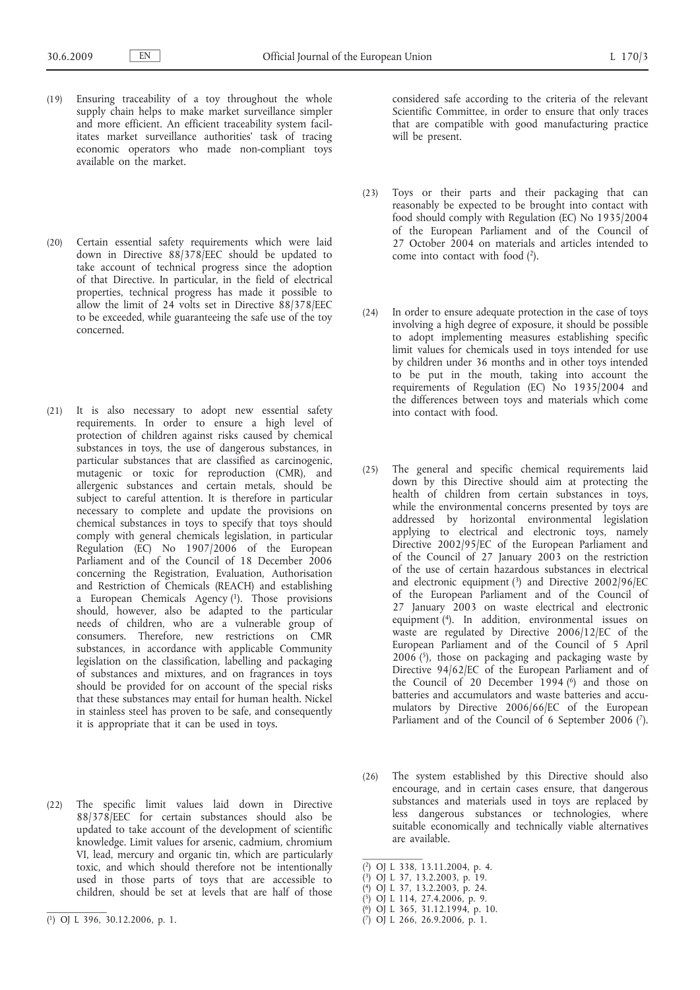- (19) Ensuring traceability of a toy throughout the whole supply chain helps to make market surveillance simpler and more efficient. An efficient traceability system facilitates market surveillance authorities' task of tracing economic operators who made non-compliant toys available on the market.
- (20) Certain essential safety requirements which were laid down in Directive 88/378/EEC should be updated to take account of technical progress since the adoption of that Directive. In particular, in the field of electrical properties, technical progress has made it possible to allow the limit of  $24$  volts set in Directive  $88/378/EEC$ to be exceeded, while guaranteeing the safe use of the toy concerned.
- (21) It is also necessary to adopt new essential safety requirements. In order to ensure a high level of protection of children against risks caused by chemical substances in toys, the use of dangerous substances, in particular substances that are classified as carcinogenic, mutagenic or toxic for reproduction (CMR), and allergenic substances and certain metals, should be subject to careful attention. It is therefore in particular necessary to complete and update the provisions on chemical substances in toys to specify that toys should comply with general chemicals legislation, in particular Regulation (EC) No 1907/2006 of the European Parliament and of the Council of 18 December 2006 concerning the Registration, Evaluation, Authorisation and Restriction of Chemicals (REACH) and establishing a European Chemicals Agency (1). Those provisions should, however, also be adapted to the particular needs of children, who are a vulnerable group of consumers. Therefore, new restrictions on CMR substances, in accordance with applicable Community legislation on the classification, labelling and packaging of substances and mixtures, and on fragrances in toys should be provided for on account of the special risks that these substances may entail for human health. Nickel in stainless steel has proven to be safe, and consequently it is appropriate that it can be used in toys.
- (22) The specific limit values laid down in Directive 88/378/EEC for certain substances should also be updated to take account of the development of scientific knowledge. Limit values for arsenic, cadmium, chromium VI, lead, mercury and organic tin, which are particularly toxic, and which should therefore not be intentionally used in those parts of toys that are accessible to children, should be set at levels that are half of those

considered safe according to the criteria of the relevant Scientific Committee, in order to ensure that only traces that are compatible with good manufacturing practice will be present.

- (23) Toys or their parts and their packaging that can reasonably be expected to be brought into contact with food should comply with Regulation (EC) No 1935/2004 of the European Parliament and of the Council of 27 October 2004 on materials and articles intended to come into contact with food (2).
- (24) In order to ensure adequate protection in the case of toys involving a high degree of exposure, it should be possible to adopt implementing measures establishing specific limit values for chemicals used in toys intended for use by children under 36 months and in other toys intended to be put in the mouth, taking into account the requirements of Regulation (EC) No 1935/2004 and the differences between toys and materials which come into contact with food.
- (25) The general and specific chemical requirements laid down by this Directive should aim at protecting the health of children from certain substances in toys, while the environmental concerns presented by toys are addressed by horizontal environmental legislation applying to electrical and electronic toys, namely Directive 2002/95/EC of the European Parliament and of the Council of 27 January 2003 on the restriction of the use of certain hazardous substances in electrical and electronic equipment  $(3)$  and Directive 2002/96/EC of the European Parliament and of the Council of 27 January 2003 on waste electrical and electronic equipment (4). In addition, environmental issues on waste are regulated by Directive 2006/12/EC of the European Parliament and of the Council of 5 April  $2006$  (5), those on packaging and packaging waste by Directive 94/62/EC of the European Parliament and of the Council of 20 December 1994 (6) and those on batteries and accumulators and waste batteries and accumulators by Directive 2006/66/EC of the European Parliament and of the Council of 6 September 2006 (7).
- (26) The system established by this Directive should also encourage, and in certain cases ensure, that dangerous substances and materials used in toys are replaced by less dangerous substances or technologies, where suitable economically and technically viable alternatives are available.

- ( 3) OJ L 37, 13.2.2003, p. 19.
- ( 4) OJ L 37, 13.2.2003, p. 24.
- ( 5) OJ L 114, 27.4.2006, p. 9. ( 6) OJ L 365, 31.12.1994, p. 10.
- ( 7) OJ L 266, 26.9.2006, p. 1.

<sup>(</sup> 1) OJ L 396, 30.12.2006, p. 1.

<sup>(</sup> 2) OJ L 338, 13.11.2004, p. 4.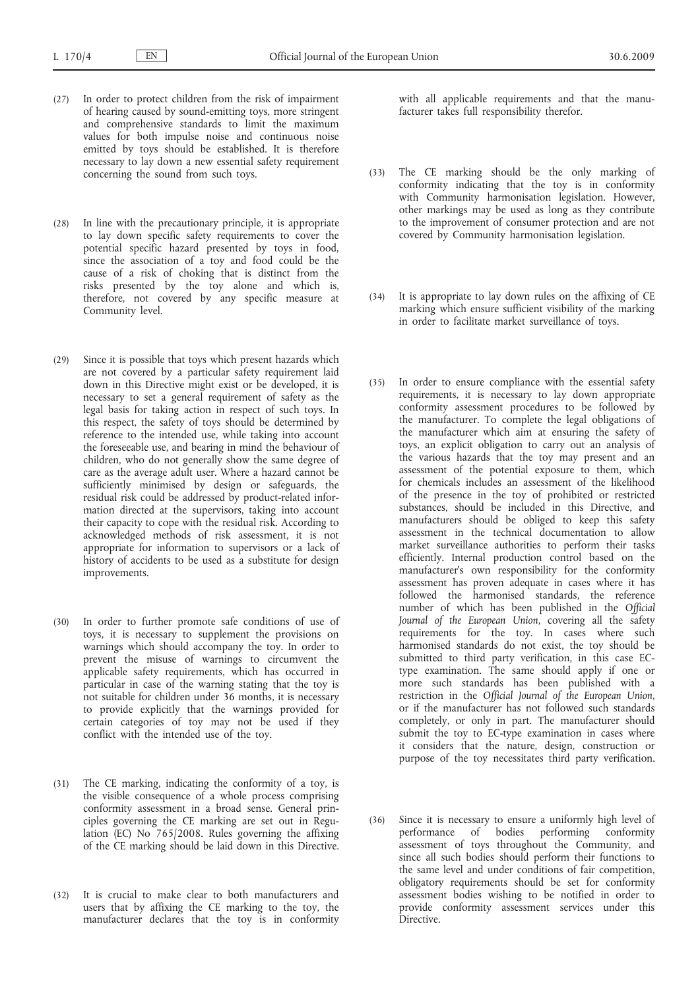- (27) In order to protect children from the risk of impairment of hearing caused by sound-emitting toys, more stringent and comprehensive standards to limit the maximum values for both impulse noise and continuous noise emitted by toys should be established. It is therefore necessary to lay down a new essential safety requirement concerning the sound from such toys.
- (28) In line with the precautionary principle, it is appropriate to lay down specific safety requirements to cover the potential specific hazard presented by toys in food, since the association of a toy and food could be the cause of a risk of choking that is distinct from the risks presented by the toy alone and which is, therefore, not covered by any specific measure at Community level.
- (29) Since it is possible that toys which present hazards which are not covered by a particular safety requirement laid down in this Directive might exist or be developed, it is necessary to set a general requirement of safety as the legal basis for taking action in respect of such toys. In this respect, the safety of toys should be determined by reference to the intended use, while taking into account the foreseeable use, and bearing in mind the behaviour of children, who do not generally show the same degree of care as the average adult user. Where a hazard cannot be sufficiently minimised by design or safeguards, the residual risk could be addressed by product-related information directed at the supervisors, taking into account their capacity to cope with the residual risk. According to acknowledged methods of risk assessment, it is not appropriate for information to supervisors or a lack of history of accidents to be used as a substitute for design improvements.
- (30) In order to further promote safe conditions of use of toys, it is necessary to supplement the provisions on warnings which should accompany the toy. In order to prevent the misuse of warnings to circumvent the applicable safety requirements, which has occurred in particular in case of the warning stating that the toy is not suitable for children under 36 months, it is necessary to provide explicitly that the warnings provided for certain categories of toy may not be used if they conflict with the intended use of the toy.
- (31) The CE marking, indicating the conformity of a toy, is the visible consequence of a whole process comprising conformity assessment in a broad sense. General principles governing the CE marking are set out in Regulation (EC) No 765/2008. Rules governing the affixing of the CE marking should be laid down in this Directive.
- (32) It is crucial to make clear to both manufacturers and users that by affixing the CE marking to the toy, the manufacturer declares that the toy is in conformity

with all applicable requirements and that the manufacturer takes full responsibility therefor.

- (33) The CE marking should be the only marking of conformity indicating that the toy is in conformity with Community harmonisation legislation. However, other markings may be used as long as they contribute to the improvement of consumer protection and are not covered by Community harmonisation legislation.
- (34) It is appropriate to lay down rules on the affixing of CE marking which ensure sufficient visibility of the marking in order to facilitate market surveillance of toys.
- (35) In order to ensure compliance with the essential safety requirements, it is necessary to lay down appropriate conformity assessment procedures to be followed by the manufacturer. To complete the legal obligations of the manufacturer which aim at ensuring the safety of toys, an explicit obligation to carry out an analysis of the various hazards that the toy may present and an assessment of the potential exposure to them, which for chemicals includes an assessment of the likelihood of the presence in the toy of prohibited or restricted substances, should be included in this Directive, and manufacturers should be obliged to keep this safety assessment in the technical documentation to allow market surveillance authorities to perform their tasks efficiently. Internal production control based on the manufacturer's own responsibility for the conformity assessment has proven adequate in cases where it has followed the harmonised standards, the reference number of which has been published in the *Official Journal of the European Union*, covering all the safety requirements for the toy. In cases where such harmonised standards do not exist, the toy should be submitted to third party verification, in this case ECtype examination. The same should apply if one or more such standards has been published with a restriction in the *Official Journal of the European Union*, or if the manufacturer has not followed such standards completely, or only in part. The manufacturer should submit the toy to EC-type examination in cases where it considers that the nature, design, construction or purpose of the toy necessitates third party verification.
- (36) Since it is necessary to ensure a uniformly high level of performance of bodies performing conformity assessment of toys throughout the Community, and since all such bodies should perform their functions to the same level and under conditions of fair competition, obligatory requirements should be set for conformity assessment bodies wishing to be notified in order to provide conformity assessment services under this **Directive**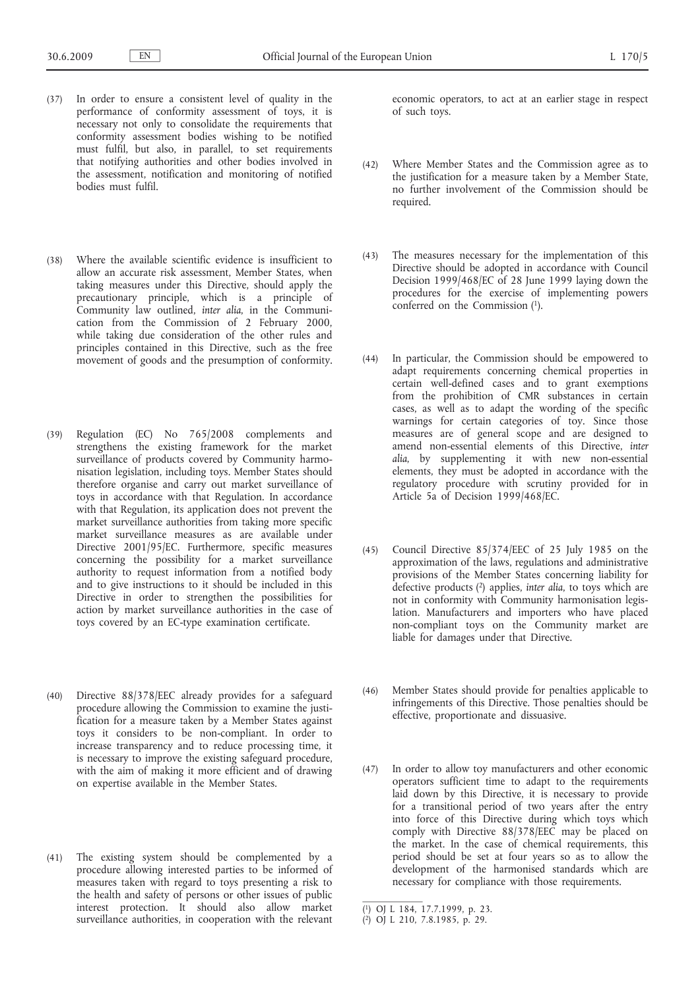- (37) In order to ensure a consistent level of quality in the performance of conformity assessment of toys, it is necessary not only to consolidate the requirements that conformity assessment bodies wishing to be notified must fulfil, but also, in parallel, to set requirements that notifying authorities and other bodies involved in the assessment, notification and monitoring of notified bodies must fulfil.
- (38) Where the available scientific evidence is insufficient to allow an accurate risk assessment, Member States, when taking measures under this Directive, should apply the precautionary principle, which is a principle of Community law outlined, *inter alia*, in the Communication from the Commission of 2 February 2000, while taking due consideration of the other rules and principles contained in this Directive, such as the free movement of goods and the presumption of conformity.
- (39) Regulation (EC) No 765/2008 complements and strengthens the existing framework for the market surveillance of products covered by Community harmonisation legislation, including toys. Member States should therefore organise and carry out market surveillance of toys in accordance with that Regulation. In accordance with that Regulation, its application does not prevent the market surveillance authorities from taking more specific market surveillance measures as are available under Directive 2001/95/EC. Furthermore, specific measures concerning the possibility for a market surveillance authority to request information from a notified body and to give instructions to it should be included in this Directive in order to strengthen the possibilities for action by market surveillance authorities in the case of toys covered by an EC-type examination certificate.
- (40) Directive 88/378/EEC already provides for a safeguard procedure allowing the Commission to examine the justification for a measure taken by a Member States against toys it considers to be non-compliant. In order to increase transparency and to reduce processing time, it is necessary to improve the existing safeguard procedure, with the aim of making it more efficient and of drawing on expertise available in the Member States.
- (41) The existing system should be complemented by a procedure allowing interested parties to be informed of measures taken with regard to toys presenting a risk to the health and safety of persons or other issues of public interest protection. It should also allow market surveillance authorities, in cooperation with the relevant

economic operators, to act at an earlier stage in respect of such toys.

- (42) Where Member States and the Commission agree as to the justification for a measure taken by a Member State, no further involvement of the Commission should be required.
- (43) The measures necessary for the implementation of this Directive should be adopted in accordance with Council Decision 1999/468/EC of 28 June 1999 laying down the procedures for the exercise of implementing powers conferred on the Commission (1).
- (44) In particular, the Commission should be empowered to adapt requirements concerning chemical properties in certain well-defined cases and to grant exemptions from the prohibition of CMR substances in certain cases, as well as to adapt the wording of the specific warnings for certain categories of toy. Since those measures are of general scope and are designed to amend non-essential elements of this Directive, *inter alia*, by supplementing it with new non-essential elements, they must be adopted in accordance with the regulatory procedure with scrutiny provided for in Article 5a of Decision 1999/468/EC.
- (45) Council Directive 85/374/EEC of 25 July 1985 on the approximation of the laws, regulations and administrative provisions of the Member States concerning liability for defective products (2) applies, *inter alia*, to toys which are not in conformity with Community harmonisation legislation. Manufacturers and importers who have placed non-compliant toys on the Community market are liable for damages under that Directive.
- (46) Member States should provide for penalties applicable to infringements of this Directive. Those penalties should be effective, proportionate and dissuasive.
- (47) In order to allow toy manufacturers and other economic operators sufficient time to adapt to the requirements laid down by this Directive, it is necessary to provide for a transitional period of two years after the entry into force of this Directive during which toys which comply with Directive 88/378/EEC may be placed on the market. In the case of chemical requirements, this period should be set at four years so as to allow the development of the harmonised standards which are necessary for compliance with those requirements.

<sup>(</sup> 1) OJ L 184, 17.7.1999, p. 23.

<sup>(</sup> 2) OJ L 210, 7.8.1985, p. 29.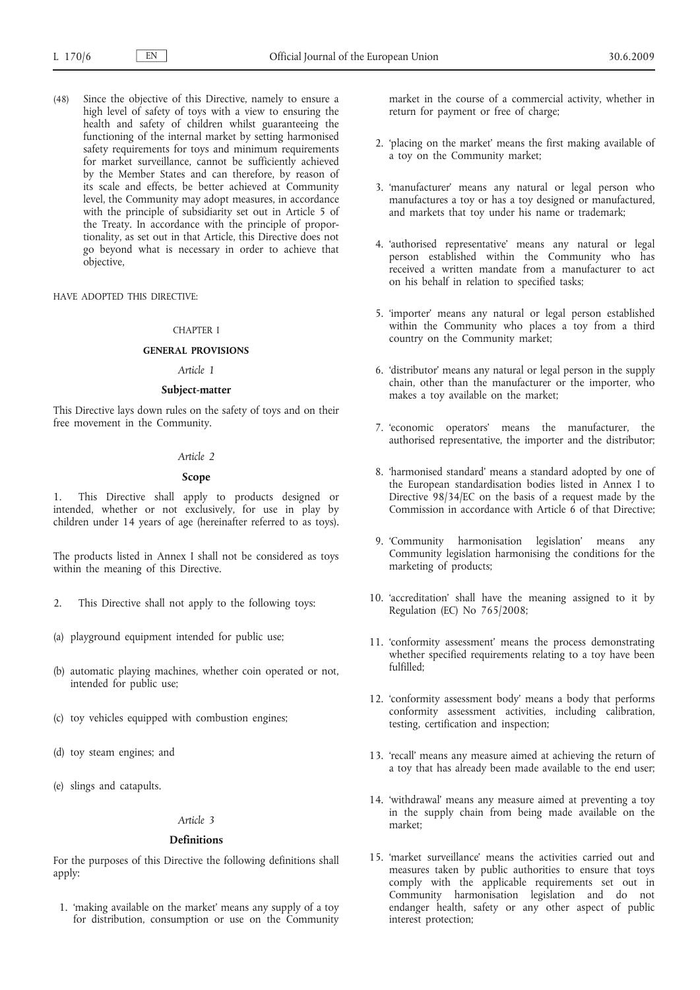(48) Since the objective of this Directive, namely to ensure a high level of safety of toys with a view to ensuring the health and safety of children whilst guaranteeing the functioning of the internal market by setting harmonised safety requirements for toys and minimum requirements for market surveillance, cannot be sufficiently achieved by the Member States and can therefore, by reason of its scale and effects, be better achieved at Community level, the Community may adopt measures, in accordance with the principle of subsidiarity set out in Article 5 of the Treaty. In accordance with the principle of proportionality, as set out in that Article, this Directive does not go beyond what is necessary in order to achieve that objective,

### HAVE ADOPTED THIS DIRECTIVE:

### CHAPTER I

#### **GENERAL PROVISIONS**

### *Article 1*

### **Subject-matter**

This Directive lays down rules on the safety of toys and on their free movement in the Community.

### *Article 2*

#### **Scope**

1. This Directive shall apply to products designed or intended, whether or not exclusively, for use in play by children under 14 years of age (hereinafter referred to as toys).

The products listed in Annex I shall not be considered as toys within the meaning of this Directive.

- 2. This Directive shall not apply to the following toys:
- (a) playground equipment intended for public use;
- (b) automatic playing machines, whether coin operated or not, intended for public use;
- (c) toy vehicles equipped with combustion engines;
- (d) toy steam engines; and
- (e) slings and catapults.

## *Article 3*

### **Definitions**

For the purposes of this Directive the following definitions shall apply:

1. 'making available on the market' means any supply of a toy for distribution, consumption or use on the Community

market in the course of a commercial activity, whether in return for payment or free of charge;

- 2. 'placing on the market' means the first making available of a toy on the Community market;
- 3. 'manufacturer' means any natural or legal person who manufactures a toy or has a toy designed or manufactured, and markets that toy under his name or trademark;
- 4. 'authorised representative' means any natural or legal person established within the Community who has received a written mandate from a manufacturer to act on his behalf in relation to specified tasks;
- 5. 'importer' means any natural or legal person established within the Community who places a toy from a third country on the Community market;
- 6. 'distributor' means any natural or legal person in the supply chain, other than the manufacturer or the importer, who makes a toy available on the market;
- 7. 'economic operators' means the manufacturer, the authorised representative, the importer and the distributor;
- 8. 'harmonised standard' means a standard adopted by one of the European standardisation bodies listed in Annex I to Directive 98/34/EC on the basis of a request made by the Commission in accordance with Article  $6$  of that Directive;
- 9. 'Community harmonisation legislation' means any Community legislation harmonising the conditions for the marketing of products;
- 10. 'accreditation' shall have the meaning assigned to it by Regulation (EC) No 765/2008;
- 11. 'conformity assessment' means the process demonstrating whether specified requirements relating to a toy have been fulfilled;
- 12. 'conformity assessment body' means a body that performs conformity assessment activities, including calibration, testing, certification and inspection;
- 13. 'recall' means any measure aimed at achieving the return of a toy that has already been made available to the end user;
- 14. 'withdrawal' means any measure aimed at preventing a toy in the supply chain from being made available on the market;
- 15. 'market surveillance' means the activities carried out and measures taken by public authorities to ensure that toys comply with the applicable requirements set out in Community harmonisation legislation and do not endanger health, safety or any other aspect of public interest protection;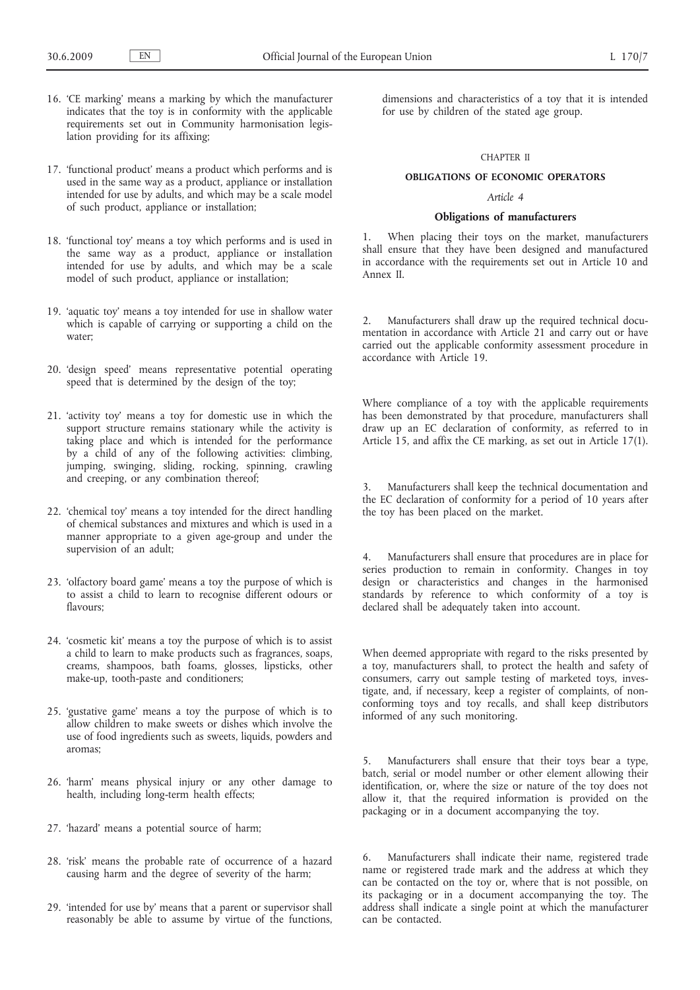- 16. 'CE marking' means a marking by which the manufacturer indicates that the toy is in conformity with the applicable requirements set out in Community harmonisation legislation providing for its affixing;
- 17. 'functional product' means a product which performs and is used in the same way as a product, appliance or installation intended for use by adults, and which may be a scale model of such product, appliance or installation;
- 18. 'functional toy' means a toy which performs and is used in the same way as a product, appliance or installation intended for use by adults, and which may be a scale model of such product, appliance or installation;
- 19. 'aquatic toy' means a toy intended for use in shallow water which is capable of carrying or supporting a child on the water;
- 20. 'design speed' means representative potential operating speed that is determined by the design of the toy;
- 21. 'activity toy' means a toy for domestic use in which the support structure remains stationary while the activity is taking place and which is intended for the performance by a child of any of the following activities: climbing, jumping, swinging, sliding, rocking, spinning, crawling and creeping, or any combination thereof;
- 22. 'chemical toy' means a toy intended for the direct handling of chemical substances and mixtures and which is used in a manner appropriate to a given age-group and under the supervision of an adult;
- 23. 'olfactory board game' means a toy the purpose of which is to assist a child to learn to recognise different odours or flavours;
- 24. 'cosmetic kit' means a toy the purpose of which is to assist a child to learn to make products such as fragrances, soaps, creams, shampoos, bath foams, glosses, lipsticks, other make-up, tooth-paste and conditioners;
- 25. 'gustative game' means a toy the purpose of which is to allow children to make sweets or dishes which involve the use of food ingredients such as sweets, liquids, powders and aromas;
- 26. 'harm' means physical injury or any other damage to health, including long-term health effects;
- 27. 'hazard' means a potential source of harm;
- 28. 'risk' means the probable rate of occurrence of a hazard causing harm and the degree of severity of the harm;
- 29. 'intended for use by' means that a parent or supervisor shall reasonably be able to assume by virtue of the functions,

dimensions and characteristics of a toy that it is intended for use by children of the stated age group.

#### CHAPTER II

## **OBLIGATIONS OF ECONOMIC OPERATORS**

## *Article 4*

### **Obligations of manufacturers**

1. When placing their toys on the market, manufacturers shall ensure that they have been designed and manufactured in accordance with the requirements set out in Article 10 and Annex II.

2. Manufacturers shall draw up the required technical documentation in accordance with Article 21 and carry out or have carried out the applicable conformity assessment procedure in accordance with Article 19.

Where compliance of a toy with the applicable requirements has been demonstrated by that procedure, manufacturers shall draw up an EC declaration of conformity, as referred to in Article 15, and affix the CE marking, as set out in Article 17(1).

3. Manufacturers shall keep the technical documentation and the EC declaration of conformity for a period of 10 years after the toy has been placed on the market.

4. Manufacturers shall ensure that procedures are in place for series production to remain in conformity. Changes in toy design or characteristics and changes in the harmonised standards by reference to which conformity of a toy is declared shall be adequately taken into account.

When deemed appropriate with regard to the risks presented by a toy, manufacturers shall, to protect the health and safety of consumers, carry out sample testing of marketed toys, investigate, and, if necessary, keep a register of complaints, of nonconforming toys and toy recalls, and shall keep distributors informed of any such monitoring.

5. Manufacturers shall ensure that their toys bear a type, batch, serial or model number or other element allowing their identification, or, where the size or nature of the toy does not allow it, that the required information is provided on the packaging or in a document accompanying the toy.

6. Manufacturers shall indicate their name, registered trade name or registered trade mark and the address at which they can be contacted on the toy or, where that is not possible, on its packaging or in a document accompanying the toy. The address shall indicate a single point at which the manufacturer can be contacted.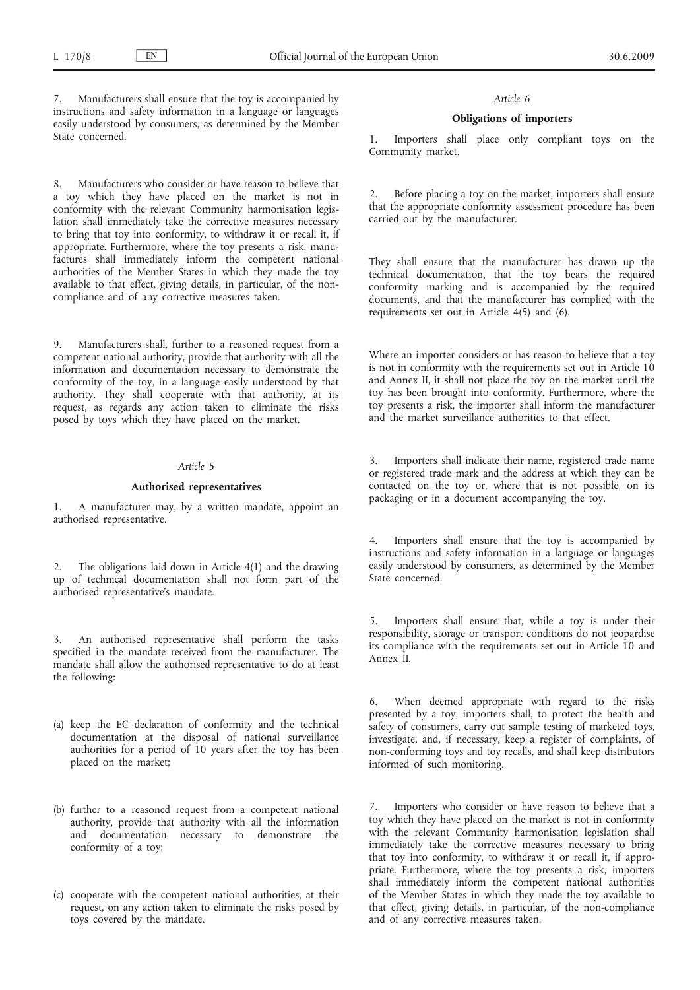Manufacturers shall ensure that the toy is accompanied by instructions and safety information in a language or languages easily understood by consumers, as determined by the Member State concerned.

8. Manufacturers who consider or have reason to believe that a toy which they have placed on the market is not in conformity with the relevant Community harmonisation legislation shall immediately take the corrective measures necessary to bring that toy into conformity, to withdraw it or recall it, if appropriate. Furthermore, where the toy presents a risk, manufactures shall immediately inform the competent national authorities of the Member States in which they made the toy available to that effect, giving details, in particular, of the noncompliance and of any corrective measures taken.

9. Manufacturers shall, further to a reasoned request from a competent national authority, provide that authority with all the information and documentation necessary to demonstrate the conformity of the toy, in a language easily understood by that authority. They shall cooperate with that authority, at its request, as regards any action taken to eliminate the risks posed by toys which they have placed on the market.

#### *Article 5*

## **Authorised representatives**

1. A manufacturer may, by a written mandate, appoint an authorised representative.

2. The obligations laid down in Article 4(1) and the drawing up of technical documentation shall not form part of the authorised representative's mandate.

An authorised representative shall perform the tasks specified in the mandate received from the manufacturer. The mandate shall allow the authorised representative to do at least the following:

- (a) keep the EC declaration of conformity and the technical documentation at the disposal of national surveillance authorities for a period of 10 years after the toy has been placed on the market;
- (b) further to a reasoned request from a competent national authority, provide that authority with all the information and documentation necessary to demonstrate the conformity of a toy;
- (c) cooperate with the competent national authorities, at their request, on any action taken to eliminate the risks posed by toys covered by the mandate.

#### *Article 6*

### **Obligations of importers**

1. Importers shall place only compliant toys on the Community market.

Before placing a toy on the market, importers shall ensure that the appropriate conformity assessment procedure has been carried out by the manufacturer.

They shall ensure that the manufacturer has drawn up the technical documentation, that the toy bears the required conformity marking and is accompanied by the required documents, and that the manufacturer has complied with the requirements set out in Article 4(5) and (6).

Where an importer considers or has reason to believe that a toy is not in conformity with the requirements set out in Article  $10$ and Annex II, it shall not place the toy on the market until the toy has been brought into conformity. Furthermore, where the toy presents a risk, the importer shall inform the manufacturer and the market surveillance authorities to that effect.

3. Importers shall indicate their name, registered trade name or registered trade mark and the address at which they can be contacted on the toy or, where that is not possible, on its packaging or in a document accompanying the toy.

Importers shall ensure that the toy is accompanied by instructions and safety information in a language or languages easily understood by consumers, as determined by the Member State concerned.

5. Importers shall ensure that, while a toy is under their responsibility, storage or transport conditions do not jeopardise its compliance with the requirements set out in Article 10 and Annex II.

6. When deemed appropriate with regard to the risks presented by a toy, importers shall, to protect the health and safety of consumers, carry out sample testing of marketed toys, investigate, and, if necessary, keep a register of complaints, of non-conforming toys and toy recalls, and shall keep distributors informed of such monitoring.

7. Importers who consider or have reason to believe that a toy which they have placed on the market is not in conformity with the relevant Community harmonisation legislation shall immediately take the corrective measures necessary to bring that toy into conformity, to withdraw it or recall it, if appropriate. Furthermore, where the toy presents a risk, importers shall immediately inform the competent national authorities of the Member States in which they made the toy available to that effect, giving details, in particular, of the non-compliance and of any corrective measures taken.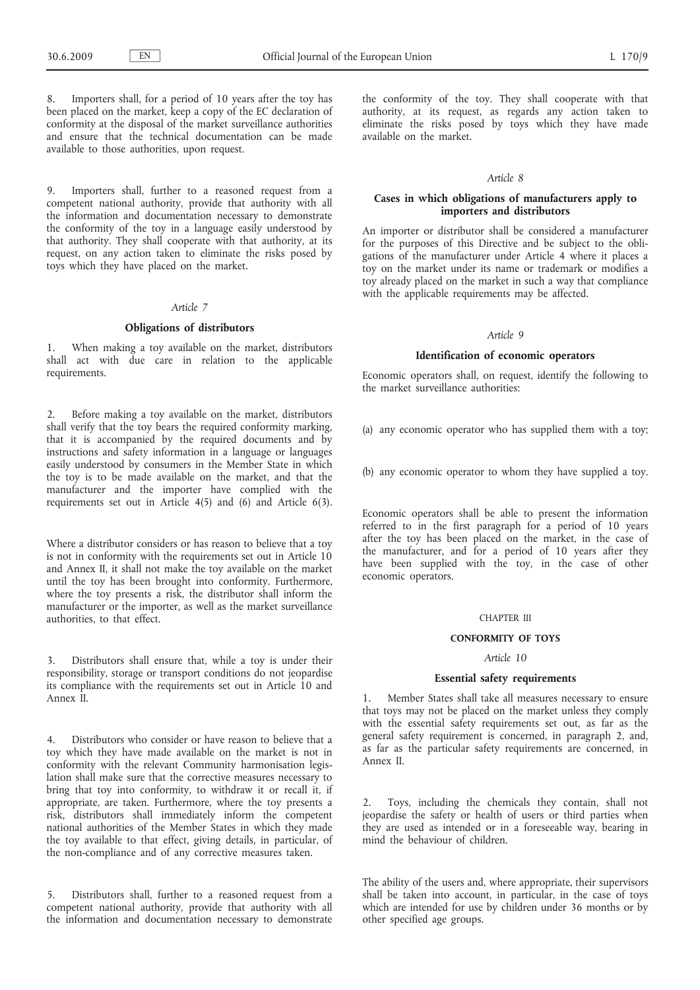Importers shall, for a period of 10 years after the toy has been placed on the market, keep a copy of the EC declaration of conformity at the disposal of the market surveillance authorities and ensure that the technical documentation can be made available to those authorities, upon request.

9. Importers shall, further to a reasoned request from a competent national authority, provide that authority with all the information and documentation necessary to demonstrate the conformity of the toy in a language easily understood by that authority. They shall cooperate with that authority, at its request, on any action taken to eliminate the risks posed by toys which they have placed on the market.

## *Article 7*

## **Obligations of distributors**

1. When making a toy available on the market, distributors shall act with due care in relation to the applicable requirements.

2. Before making a toy available on the market, distributors shall verify that the toy bears the required conformity marking, that it is accompanied by the required documents and by instructions and safety information in a language or languages easily understood by consumers in the Member State in which the toy is to be made available on the market, and that the manufacturer and the importer have complied with the requirements set out in Article 4(5) and (6) and Article 6(3).

Where a distributor considers or has reason to believe that a toy is not in conformity with the requirements set out in Article 10 and Annex II, it shall not make the toy available on the market until the toy has been brought into conformity. Furthermore, where the toy presents a risk, the distributor shall inform the manufacturer or the importer, as well as the market surveillance authorities, to that effect.

3. Distributors shall ensure that, while a toy is under their responsibility, storage or transport conditions do not jeopardise its compliance with the requirements set out in Article 10 and Annex II.

4. Distributors who consider or have reason to believe that a toy which they have made available on the market is not in conformity with the relevant Community harmonisation legislation shall make sure that the corrective measures necessary to bring that toy into conformity, to withdraw it or recall it, if appropriate, are taken. Furthermore, where the toy presents a risk, distributors shall immediately inform the competent national authorities of the Member States in which they made the toy available to that effect, giving details, in particular, of the non-compliance and of any corrective measures taken.

5. Distributors shall, further to a reasoned request from a competent national authority, provide that authority with all the information and documentation necessary to demonstrate the conformity of the toy. They shall cooperate with that authority, at its request, as regards any action taken to eliminate the risks posed by toys which they have made available on the market.

### *Article 8*

## **Cases in which obligations of manufacturers apply to importers and distributors**

An importer or distributor shall be considered a manufacturer for the purposes of this Directive and be subject to the obligations of the manufacturer under Article 4 where it places a toy on the market under its name or trademark or modifies a toy already placed on the market in such a way that compliance with the applicable requirements may be affected.

#### *Article 9*

#### **Identification of economic operators**

Economic operators shall, on request, identify the following to the market surveillance authorities:

(a) any economic operator who has supplied them with a toy;

(b) any economic operator to whom they have supplied a toy.

Economic operators shall be able to present the information referred to in the first paragraph for a period of 10 years after the toy has been placed on the market, in the case of the manufacturer, and for a period of 10 years after they have been supplied with the toy, in the case of other economic operators.

#### CHAPTER III

### **CONFORMITY OF TOYS**

### *Article 10*

## **Essential safety requirements**

Member States shall take all measures necessary to ensure that toys may not be placed on the market unless they comply with the essential safety requirements set out, as far as the general safety requirement is concerned, in paragraph 2, and, as far as the particular safety requirements are concerned, in Annex II.

2. Toys, including the chemicals they contain, shall not jeopardise the safety or health of users or third parties when they are used as intended or in a foreseeable way, bearing in mind the behaviour of children.

The ability of the users and, where appropriate, their supervisors shall be taken into account, in particular, in the case of toys which are intended for use by children under 36 months or by other specified age groups.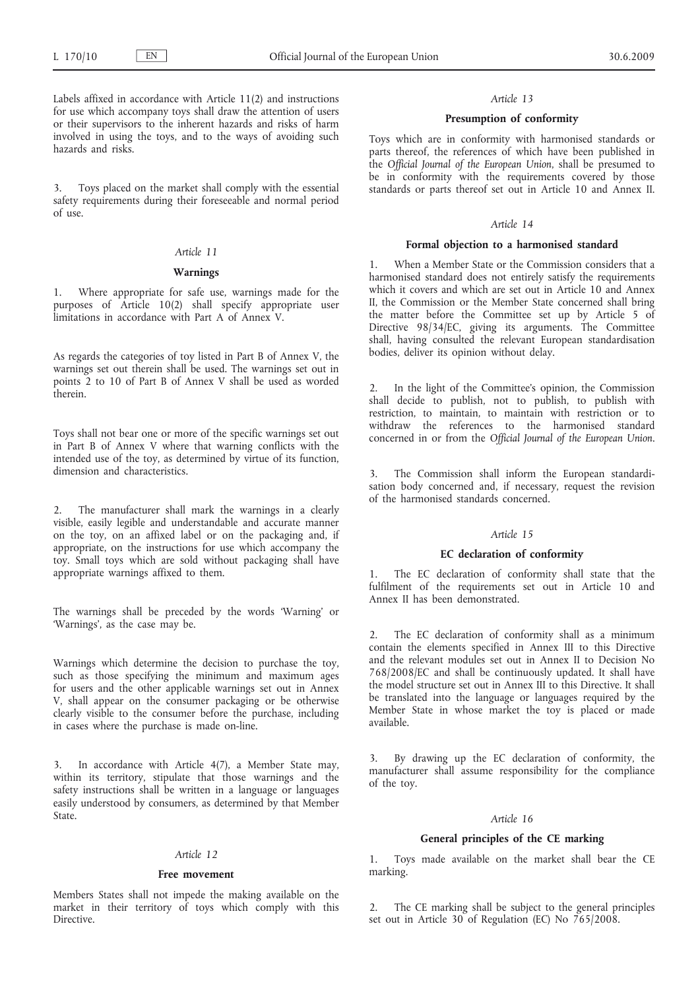Labels affixed in accordance with Article 11(2) and instructions for use which accompany toys shall draw the attention of users or their supervisors to the inherent hazards and risks of harm involved in using the toys, and to the ways of avoiding such hazards and risks.

3. Toys placed on the market shall comply with the essential safety requirements during their foreseeable and normal period of use.

## *Article 11*

#### **Warnings**

1. Where appropriate for safe use, warnings made for the purposes of Article 10(2) shall specify appropriate user limitations in accordance with Part A of Annex V.

As regards the categories of toy listed in Part B of Annex V, the warnings set out therein shall be used. The warnings set out in points 2 to 10 of Part B of Annex V shall be used as worded therein.

Toys shall not bear one or more of the specific warnings set out in Part B of Annex V where that warning conflicts with the intended use of the toy, as determined by virtue of its function, dimension and characteristics.

2. The manufacturer shall mark the warnings in a clearly visible, easily legible and understandable and accurate manner on the toy, on an affixed label or on the packaging and, if appropriate, on the instructions for use which accompany the toy. Small toys which are sold without packaging shall have appropriate warnings affixed to them.

The warnings shall be preceded by the words 'Warning' or 'Warnings', as the case may be.

Warnings which determine the decision to purchase the toy, such as those specifying the minimum and maximum ages for users and the other applicable warnings set out in Annex V, shall appear on the consumer packaging or be otherwise clearly visible to the consumer before the purchase, including in cases where the purchase is made on-line.

In accordance with Article 4(7), a Member State may, within its territory, stipulate that those warnings and the safety instructions shall be written in a language or languages easily understood by consumers, as determined by that Member State.

### *Article 12*

#### **Free movement**

Members States shall not impede the making available on the market in their territory of toys which comply with this Directive.

### *Article 13*

### **Presumption of conformity**

Toys which are in conformity with harmonised standards or parts thereof, the references of which have been published in the *Official Journal of the European Union*, shall be presumed to be in conformity with the requirements covered by those standards or parts thereof set out in Article 10 and Annex II.

### *Article 14*

### **Formal objection to a harmonised standard**

1. When a Member State or the Commission considers that a harmonised standard does not entirely satisfy the requirements which it covers and which are set out in Article 10 and Annex II, the Commission or the Member State concerned shall bring the matter before the Committee set up by Article 5 of Directive 98/34/EC, giving its arguments. The Committee shall, having consulted the relevant European standardisation bodies, deliver its opinion without delay.

2. In the light of the Committee's opinion, the Commission shall decide to publish, not to publish, to publish with restriction, to maintain, to maintain with restriction or to withdraw the references to the harmonised standard concerned in or from the *Official Journal of the European Union*.

The Commission shall inform the European standardisation body concerned and, if necessary, request the revision of the harmonised standards concerned.

## *Article 15*

### **EC declaration of conformity**

1. The EC declaration of conformity shall state that the fulfilment of the requirements set out in Article 10 and Annex II has been demonstrated.

2. The EC declaration of conformity shall as a minimum contain the elements specified in Annex III to this Directive and the relevant modules set out in Annex II to Decision No 768/2008/EC and shall be continuously updated. It shall have the model structure set out in Annex III to this Directive. It shall be translated into the language or languages required by the Member State in whose market the toy is placed or made available.

By drawing up the EC declaration of conformity, the manufacturer shall assume responsibility for the compliance of the toy.

### *Article 16*

### **General principles of the CE marking**

1. Toys made available on the market shall bear the CE marking.

The CE marking shall be subject to the general principles set out in Article 30 of Regulation (EC) No 765/2008.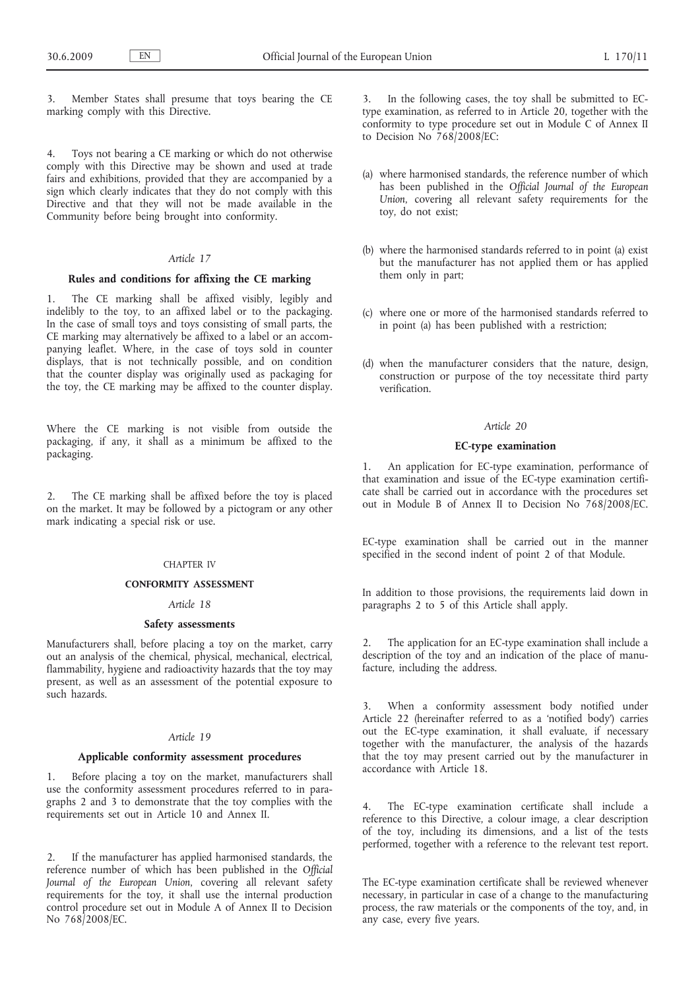3. Member States shall presume that toys bearing the CE marking comply with this Directive.

4. Toys not bearing a CE marking or which do not otherwise comply with this Directive may be shown and used at trade fairs and exhibitions, provided that they are accompanied by a sign which clearly indicates that they do not comply with this Directive and that they will not be made available in the Community before being brought into conformity.

## *Article 17*

## **Rules and conditions for affixing the CE marking**

1. The CE marking shall be affixed visibly, legibly and indelibly to the toy, to an affixed label or to the packaging. In the case of small toys and toys consisting of small parts, the CE marking may alternatively be affixed to a label or an accompanying leaflet. Where, in the case of toys sold in counter displays, that is not technically possible, and on condition that the counter display was originally used as packaging for the toy, the CE marking may be affixed to the counter display.

Where the CE marking is not visible from outside the packaging, if any, it shall as a minimum be affixed to the packaging.

2. The CE marking shall be affixed before the toy is placed on the market. It may be followed by a pictogram or any other mark indicating a special risk or use.

#### CHAPTER IV

### **CONFORMITY ASSESSMENT**

#### *Article 18*

## **Safety assessments**

Manufacturers shall, before placing a toy on the market, carry out an analysis of the chemical, physical, mechanical, electrical, flammability, hygiene and radioactivity hazards that the toy may present, as well as an assessment of the potential exposure to such hazards.

#### *Article 19*

## **Applicable conformity assessment procedures**

1. Before placing a toy on the market, manufacturers shall use the conformity assessment procedures referred to in paragraphs 2 and 3 to demonstrate that the toy complies with the requirements set out in Article 10 and Annex II.

2. If the manufacturer has applied harmonised standards, the reference number of which has been published in the *Official Journal of the European Union*, covering all relevant safety requirements for the toy, it shall use the internal production control procedure set out in Module A of Annex II to Decision No 768/2008/EC.

3. In the following cases, the toy shall be submitted to ECtype examination, as referred to in Article 20, together with the conformity to type procedure set out in Module C of Annex II to Decision No 768/2008/EC:

- (a) where harmonised standards, the reference number of which has been published in the *Official Journal of the European Union*, covering all relevant safety requirements for the toy, do not exist;
- (b) where the harmonised standards referred to in point (a) exist but the manufacturer has not applied them or has applied them only in part;
- (c) where one or more of the harmonised standards referred to in point (a) has been published with a restriction;
- (d) when the manufacturer considers that the nature, design, construction or purpose of the toy necessitate third party verification.

### *Article 20*

### **EC-type examination**

1. An application for EC-type examination, performance of that examination and issue of the EC-type examination certificate shall be carried out in accordance with the procedures set out in Module B of Annex II to Decision No 768/2008/EC.

EC-type examination shall be carried out in the manner specified in the second indent of point 2 of that Module.

In addition to those provisions, the requirements laid down in paragraphs 2 to 5 of this Article shall apply.

2. The application for an EC-type examination shall include a description of the toy and an indication of the place of manufacture, including the address.

3. When a conformity assessment body notified under Article 22 (hereinafter referred to as a 'notified body') carries out the EC-type examination, it shall evaluate, if necessary together with the manufacturer, the analysis of the hazards that the toy may present carried out by the manufacturer in accordance with Article 18.

4. The EC-type examination certificate shall include a reference to this Directive, a colour image, a clear description of the toy, including its dimensions, and a list of the tests performed, together with a reference to the relevant test report.

The EC-type examination certificate shall be reviewed whenever necessary, in particular in case of a change to the manufacturing process, the raw materials or the components of the toy, and, in any case, every five years.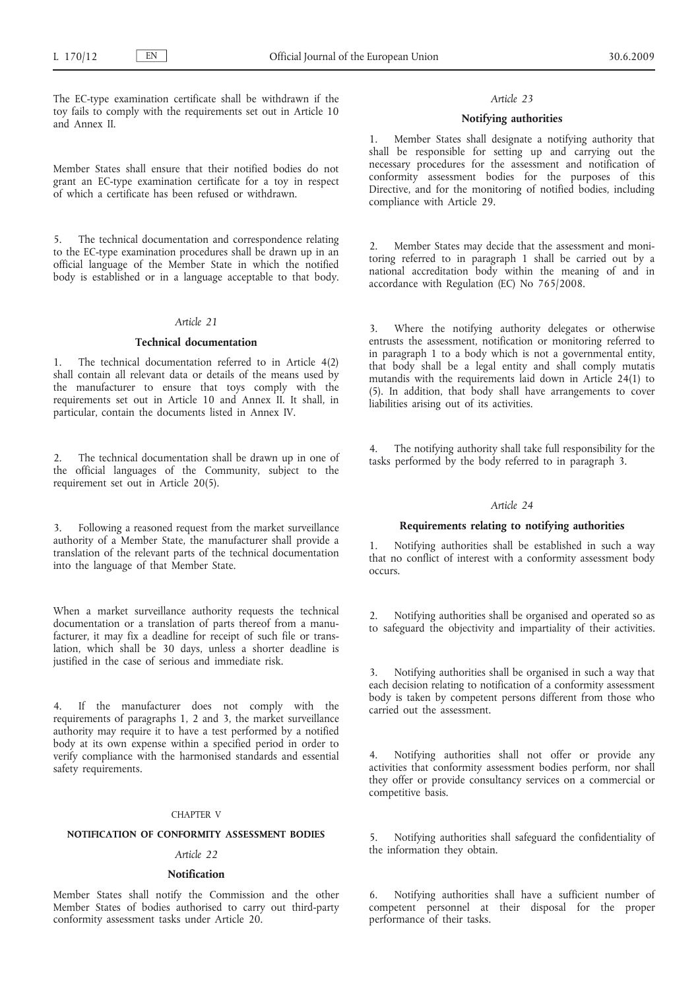The EC-type examination certificate shall be withdrawn if the toy fails to comply with the requirements set out in Article 10 and Annex II.

Member States shall ensure that their notified bodies do not grant an EC-type examination certificate for a toy in respect of which a certificate has been refused or withdrawn.

5. The technical documentation and correspondence relating to the EC-type examination procedures shall be drawn up in an official language of the Member State in which the notified body is established or in a language acceptable to that body.

## *Article 21*

#### **Technical documentation**

The technical documentation referred to in Article 4(2) shall contain all relevant data or details of the means used by the manufacturer to ensure that toys comply with the requirements set out in Article 10 and Annex II. It shall, in particular, contain the documents listed in Annex IV.

2. The technical documentation shall be drawn up in one of the official languages of the Community, subject to the requirement set out in Article 20(5).

3. Following a reasoned request from the market surveillance authority of a Member State, the manufacturer shall provide a translation of the relevant parts of the technical documentation into the language of that Member State.

When a market surveillance authority requests the technical documentation or a translation of parts thereof from a manufacturer, it may fix a deadline for receipt of such file or translation, which shall be 30 days, unless a shorter deadline is justified in the case of serious and immediate risk.

4. If the manufacturer does not comply with the requirements of paragraphs 1, 2 and 3, the market surveillance authority may require it to have a test performed by a notified body at its own expense within a specified period in order to verify compliance with the harmonised standards and essential safety requirements.

### CHAPTER V

### **NOTIFICATION OF CONFORMITY ASSESSMENT BODIES**

### *Article 22*

#### **Notification**

Member States shall notify the Commission and the other Member States of bodies authorised to carry out third-party conformity assessment tasks under Article 20.

### *Article 23*

### **Notifying authorities**

1. Member States shall designate a notifying authority that shall be responsible for setting up and carrying out the necessary procedures for the assessment and notification of conformity assessment bodies for the purposes of this Directive, and for the monitoring of notified bodies, including compliance with Article 29.

2. Member States may decide that the assessment and monitoring referred to in paragraph 1 shall be carried out by a national accreditation body within the meaning of and in accordance with Regulation (EC) No 765/2008.

3. Where the notifying authority delegates or otherwise entrusts the assessment, notification or monitoring referred to in paragraph 1 to a body which is not a governmental entity, that body shall be a legal entity and shall comply mutatis mutandis with the requirements laid down in Article 24(1) to (5). In addition, that body shall have arrangements to cover liabilities arising out of its activities.

4. The notifying authority shall take full responsibility for the tasks performed by the body referred to in paragraph 3.

#### *Article 24*

### **Requirements relating to notifying authorities**

1. Notifying authorities shall be established in such a way that no conflict of interest with a conformity assessment body occurs.

2. Notifying authorities shall be organised and operated so as to safeguard the objectivity and impartiality of their activities.

3. Notifying authorities shall be organised in such a way that each decision relating to notification of a conformity assessment body is taken by competent persons different from those who carried out the assessment.

Notifying authorities shall not offer or provide any activities that conformity assessment bodies perform, nor shall they offer or provide consultancy services on a commercial or competitive basis.

5. Notifying authorities shall safeguard the confidentiality of the information they obtain.

6. Notifying authorities shall have a sufficient number of competent personnel at their disposal for the proper performance of their tasks.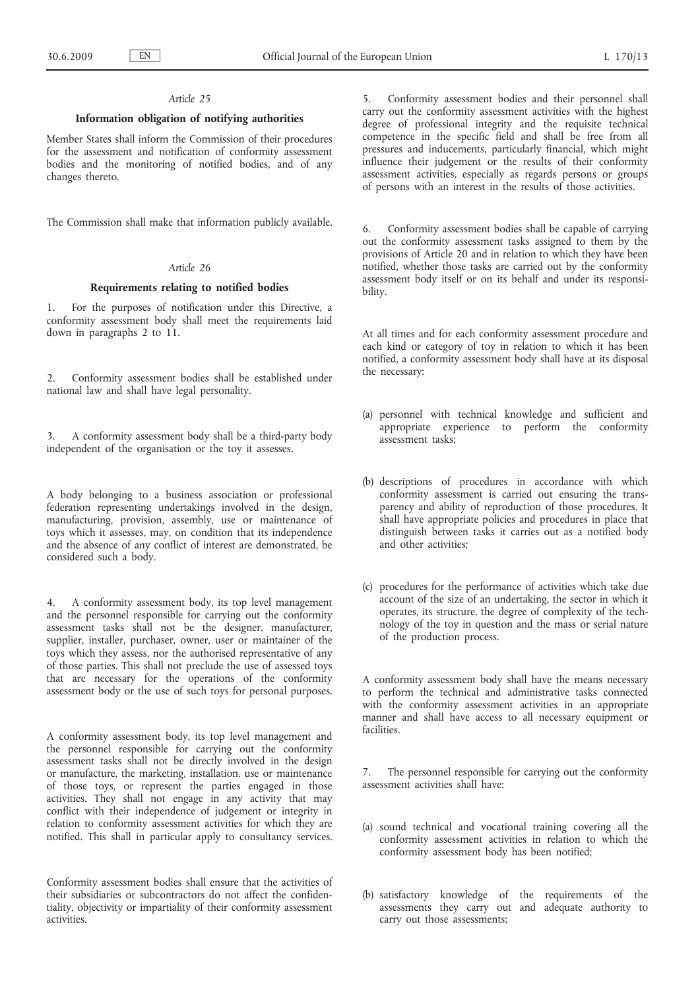### *Article 25*

### **Information obligation of notifying authorities**

Member States shall inform the Commission of their procedures for the assessment and notification of conformity assessment bodies and the monitoring of notified bodies, and of any changes thereto.

The Commission shall make that information publicly available.

## *Article 26*

## **Requirements relating to notified bodies**

1. For the purposes of notification under this Directive, a conformity assessment body shall meet the requirements laid down in paragraphs 2 to 11.

2. Conformity assessment bodies shall be established under national law and shall have legal personality.

3. A conformity assessment body shall be a third-party body independent of the organisation or the toy it assesses.

A body belonging to a business association or professional federation representing undertakings involved in the design, manufacturing, provision, assembly, use or maintenance of toys which it assesses, may, on condition that its independence and the absence of any conflict of interest are demonstrated, be considered such a body.

4. A conformity assessment body, its top level management and the personnel responsible for carrying out the conformity assessment tasks shall not be the designer, manufacturer, supplier, installer, purchaser, owner, user or maintainer of the toys which they assess, nor the authorised representative of any of those parties. This shall not preclude the use of assessed toys that are necessary for the operations of the conformity assessment body or the use of such toys for personal purposes.

A conformity assessment body, its top level management and the personnel responsible for carrying out the conformity assessment tasks shall not be directly involved in the design or manufacture, the marketing, installation, use or maintenance of those toys, or represent the parties engaged in those activities. They shall not engage in any activity that may conflict with their independence of judgement or integrity in relation to conformity assessment activities for which they are notified. This shall in particular apply to consultancy services.

Conformity assessment bodies shall ensure that the activities of their subsidiaries or subcontractors do not affect the confidentiality, objectivity or impartiality of their conformity assessment activities.

5. Conformity assessment bodies and their personnel shall carry out the conformity assessment activities with the highest degree of professional integrity and the requisite technical competence in the specific field and shall be free from all pressures and inducements, particularly financial, which might influence their judgement or the results of their conformity assessment activities, especially as regards persons or groups of persons with an interest in the results of those activities.

6. Conformity assessment bodies shall be capable of carrying out the conformity assessment tasks assigned to them by the provisions of Article 20 and in relation to which they have been notified, whether those tasks are carried out by the conformity assessment body itself or on its behalf and under its responsibility.

At all times and for each conformity assessment procedure and each kind or category of toy in relation to which it has been notified, a conformity assessment body shall have at its disposal the necessary:

- (a) personnel with technical knowledge and sufficient and appropriate experience to perform the conformity assessment tasks;
- (b) descriptions of procedures in accordance with which conformity assessment is carried out ensuring the transparency and ability of reproduction of those procedures. It shall have appropriate policies and procedures in place that distinguish between tasks it carries out as a notified body and other activities;
- (c) procedures for the performance of activities which take due account of the size of an undertaking, the sector in which it operates, its structure, the degree of complexity of the technology of the toy in question and the mass or serial nature of the production process.

A conformity assessment body shall have the means necessary to perform the technical and administrative tasks connected with the conformity assessment activities in an appropriate manner and shall have access to all necessary equipment or facilities.

7. The personnel responsible for carrying out the conformity assessment activities shall have:

- (a) sound technical and vocational training covering all the conformity assessment activities in relation to which the conformity assessment body has been notified;
- (b) satisfactory knowledge of the requirements of the assessments they carry out and adequate authority to carry out those assessments;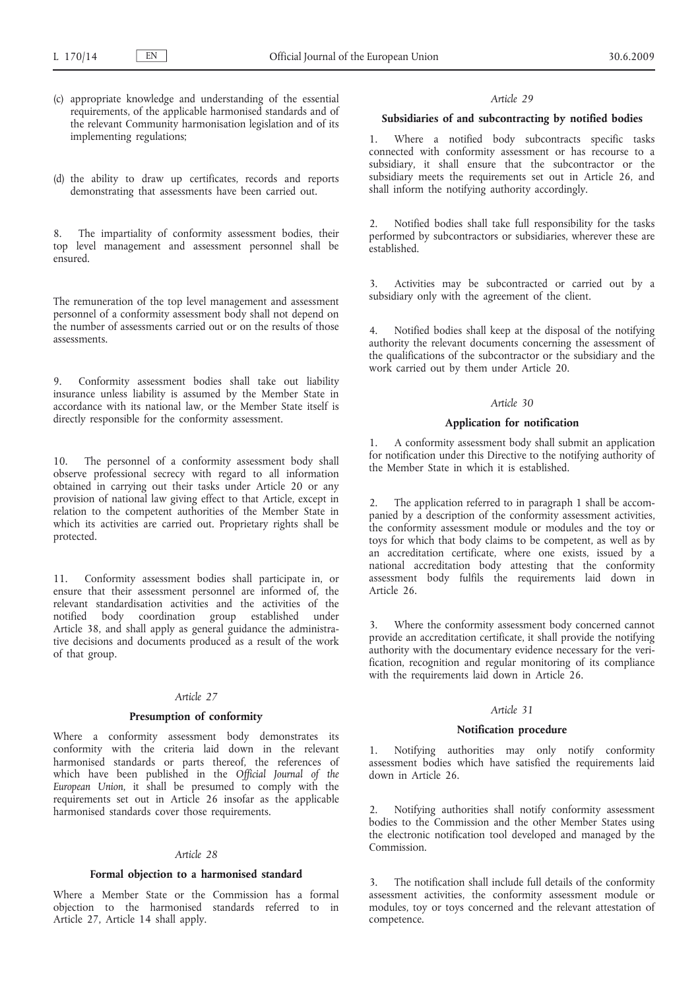- (c) appropriate knowledge and understanding of the essential requirements, of the applicable harmonised standards and of the relevant Community harmonisation legislation and of its implementing regulations;
- (d) the ability to draw up certificates, records and reports demonstrating that assessments have been carried out.

8. The impartiality of conformity assessment bodies, their top level management and assessment personnel shall be ensured.

The remuneration of the top level management and assessment personnel of a conformity assessment body shall not depend on the number of assessments carried out or on the results of those assessments.

9. Conformity assessment bodies shall take out liability insurance unless liability is assumed by the Member State in accordance with its national law, or the Member State itself is directly responsible for the conformity assessment.

10. The personnel of a conformity assessment body shall observe professional secrecy with regard to all information obtained in carrying out their tasks under Article 20 or any provision of national law giving effect to that Article, except in relation to the competent authorities of the Member State in which its activities are carried out. Proprietary rights shall be protected.

11. Conformity assessment bodies shall participate in, or ensure that their assessment personnel are informed of, the relevant standardisation activities and the activities of the notified body coordination group established under Article 38, and shall apply as general guidance the administrative decisions and documents produced as a result of the work of that group.

## *Article 27*

### **Presumption of conformity**

Where a conformity assessment body demonstrates its conformity with the criteria laid down in the relevant harmonised standards or parts thereof, the references of which have been published in the *Official Journal of the European Union*, it shall be presumed to comply with the requirements set out in Article 26 insofar as the applicable harmonised standards cover those requirements.

### *Article 28*

### **Formal objection to a harmonised standard**

Where a Member State or the Commission has a formal objection to the harmonised standards referred to in Article 27, Article 14 shall apply.

#### *Article 29*

### **Subsidiaries of and subcontracting by notified bodies**

1. Where a notified body subcontracts specific tasks connected with conformity assessment or has recourse to a subsidiary, it shall ensure that the subcontractor or the subsidiary meets the requirements set out in Article 26, and shall inform the notifying authority accordingly.

2. Notified bodies shall take full responsibility for the tasks performed by subcontractors or subsidiaries, wherever these are established.

3. Activities may be subcontracted or carried out by a subsidiary only with the agreement of the client.

4. Notified bodies shall keep at the disposal of the notifying authority the relevant documents concerning the assessment of the qualifications of the subcontractor or the subsidiary and the work carried out by them under Article 20.

#### *Article 30*

#### **Application for notification**

1. A conformity assessment body shall submit an application for notification under this Directive to the notifying authority of the Member State in which it is established.

2. The application referred to in paragraph 1 shall be accompanied by a description of the conformity assessment activities, the conformity assessment module or modules and the toy or toys for which that body claims to be competent, as well as by an accreditation certificate, where one exists, issued by a national accreditation body attesting that the conformity assessment body fulfils the requirements laid down in Article 26.

Where the conformity assessment body concerned cannot provide an accreditation certificate, it shall provide the notifying authority with the documentary evidence necessary for the verification, recognition and regular monitoring of its compliance with the requirements laid down in Article 26.

### *Article 31*

### **Notification procedure**

1. Notifying authorities may only notify conformity assessment bodies which have satisfied the requirements laid down in Article 26.

2. Notifying authorities shall notify conformity assessment bodies to the Commission and the other Member States using the electronic notification tool developed and managed by the Commission.

3. The notification shall include full details of the conformity assessment activities, the conformity assessment module or modules, toy or toys concerned and the relevant attestation of competence.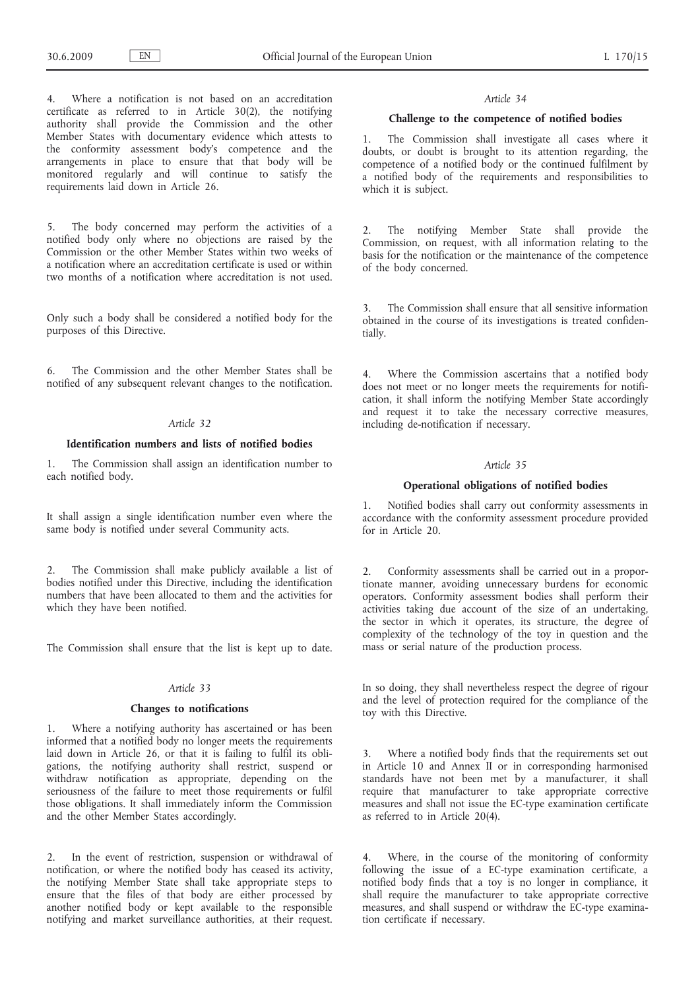4. Where a notification is not based on an accreditation certificate as referred to in Article 30(2), the notifying authority shall provide the Commission and the other Member States with documentary evidence which attests to the conformity assessment body's competence and the arrangements in place to ensure that that body will be monitored regularly and will continue to satisfy the requirements laid down in Article 26.

5. The body concerned may perform the activities of a notified body only where no objections are raised by the Commission or the other Member States within two weeks of a notification where an accreditation certificate is used or within two months of a notification where accreditation is not used.

Only such a body shall be considered a notified body for the purposes of this Directive.

6. The Commission and the other Member States shall be notified of any subsequent relevant changes to the notification.

### *Article 32*

### **Identification numbers and lists of notified bodies**

1. The Commission shall assign an identification number to each notified body.

It shall assign a single identification number even where the same body is notified under several Community acts.

The Commission shall make publicly available a list of bodies notified under this Directive, including the identification numbers that have been allocated to them and the activities for which they have been notified.

The Commission shall ensure that the list is kept up to date.

### *Article 33*

### **Changes to notifications**

Where a notifying authority has ascertained or has been informed that a notified body no longer meets the requirements laid down in Article 26, or that it is failing to fulfil its obligations, the notifying authority shall restrict, suspend or withdraw notification as appropriate, depending on the seriousness of the failure to meet those requirements or fulfil those obligations. It shall immediately inform the Commission and the other Member States accordingly.

2. In the event of restriction, suspension or withdrawal of notification, or where the notified body has ceased its activity, the notifying Member State shall take appropriate steps to ensure that the files of that body are either processed by another notified body or kept available to the responsible notifying and market surveillance authorities, at their request.

#### *Article 34*

### **Challenge to the competence of notified bodies**

1. The Commission shall investigate all cases where it doubts, or doubt is brought to its attention regarding, the competence of a notified body or the continued fulfilment by a notified body of the requirements and responsibilities to which it is subject.

2. The notifying Member State shall provide the Commission, on request, with all information relating to the basis for the notification or the maintenance of the competence of the body concerned.

3. The Commission shall ensure that all sensitive information obtained in the course of its investigations is treated confidentially.

4. Where the Commission ascertains that a notified body does not meet or no longer meets the requirements for notification, it shall inform the notifying Member State accordingly and request it to take the necessary corrective measures, including de-notification if necessary.

### *Article 35*

## **Operational obligations of notified bodies**

1. Notified bodies shall carry out conformity assessments in accordance with the conformity assessment procedure provided for in Article 20.

2. Conformity assessments shall be carried out in a proportionate manner, avoiding unnecessary burdens for economic operators. Conformity assessment bodies shall perform their activities taking due account of the size of an undertaking, the sector in which it operates, its structure, the degree of complexity of the technology of the toy in question and the mass or serial nature of the production process.

In so doing, they shall nevertheless respect the degree of rigour and the level of protection required for the compliance of the toy with this Directive.

3. Where a notified body finds that the requirements set out in Article 10 and Annex II or in corresponding harmonised standards have not been met by a manufacturer, it shall require that manufacturer to take appropriate corrective measures and shall not issue the EC-type examination certificate as referred to in Article 20(4).

Where, in the course of the monitoring of conformity following the issue of a EC-type examination certificate, a notified body finds that a toy is no longer in compliance, it shall require the manufacturer to take appropriate corrective measures, and shall suspend or withdraw the EC-type examination certificate if necessary.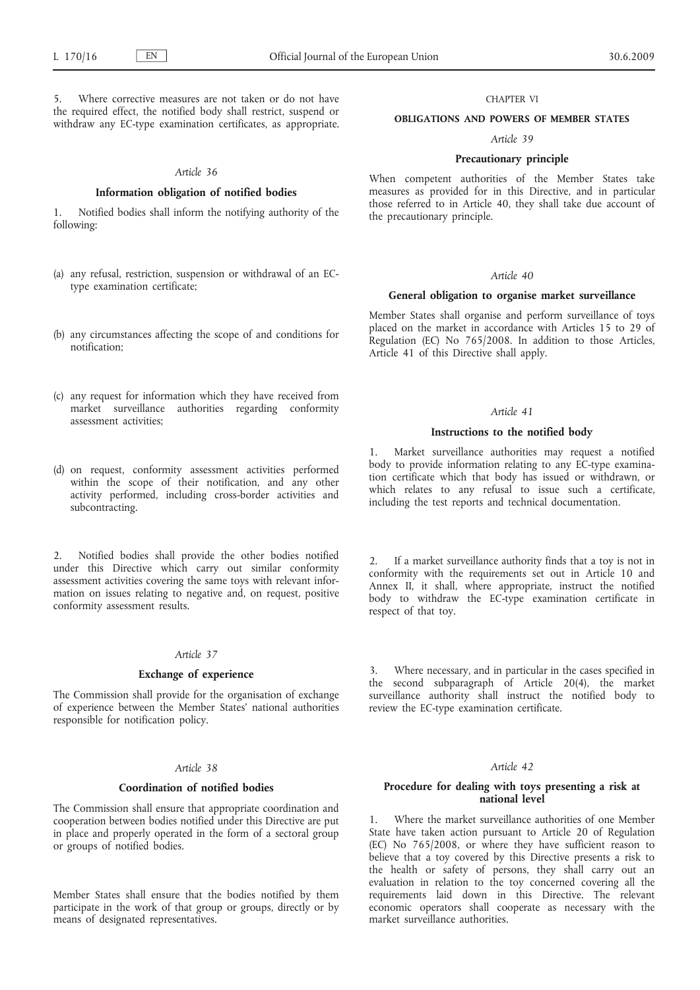5. Where corrective measures are not taken or do not have the required effect, the notified body shall restrict, suspend or withdraw any EC-type examination certificates, as appropriate.

### *Article 36*

### **Information obligation of notified bodies**

1. Notified bodies shall inform the notifying authority of the following:

- (a) any refusal, restriction, suspension or withdrawal of an ECtype examination certificate;
- (b) any circumstances affecting the scope of and conditions for notification;
- (c) any request for information which they have received from market surveillance authorities regarding conformity assessment activities;
- (d) on request, conformity assessment activities performed within the scope of their notification, and any other activity performed, including cross-border activities and subcontracting.

2. Notified bodies shall provide the other bodies notified under this Directive which carry out similar conformity assessment activities covering the same toys with relevant information on issues relating to negative and, on request, positive conformity assessment results.

## *Article 37*

## **Exchange of experience**

The Commission shall provide for the organisation of exchange of experience between the Member States' national authorities responsible for notification policy.

### *Article 38*

#### **Coordination of notified bodies**

The Commission shall ensure that appropriate coordination and cooperation between bodies notified under this Directive are put in place and properly operated in the form of a sectoral group or groups of notified bodies.

Member States shall ensure that the bodies notified by them participate in the work of that group or groups, directly or by means of designated representatives.

#### CHAPTER VI

### **OBLIGATIONS AND POWERS OF MEMBER STATES**

## *Article 39*

### **Precautionary principle**

When competent authorities of the Member States take measures as provided for in this Directive, and in particular those referred to in Article 40, they shall take due account of the precautionary principle.

## *Article 40*

### **General obligation to organise market surveillance**

Member States shall organise and perform surveillance of toys placed on the market in accordance with Articles 15 to 29 of Regulation (EC) No 765/2008. In addition to those Articles, Article 41 of this Directive shall apply.

#### *Article 41*

### **Instructions to the notified body**

1. Market surveillance authorities may request a notified body to provide information relating to any EC-type examination certificate which that body has issued or withdrawn, or which relates to any refusal to issue such a certificate, including the test reports and technical documentation.

2. If a market surveillance authority finds that a toy is not in conformity with the requirements set out in Article 10 and Annex II, it shall, where appropriate, instruct the notified body to withdraw the EC-type examination certificate in respect of that toy.

3. Where necessary, and in particular in the cases specified in the second subparagraph of Article 20(4), the market surveillance authority shall instruct the notified body to review the EC-type examination certificate.

### *Article 42*

### **Procedure for dealing with toys presenting a risk at national level**

1. Where the market surveillance authorities of one Member State have taken action pursuant to Article 20 of Regulation (EC) No 765/2008, or where they have sufficient reason to believe that a toy covered by this Directive presents a risk to the health or safety of persons, they shall carry out an evaluation in relation to the toy concerned covering all the requirements laid down in this Directive. The relevant economic operators shall cooperate as necessary with the market surveillance authorities.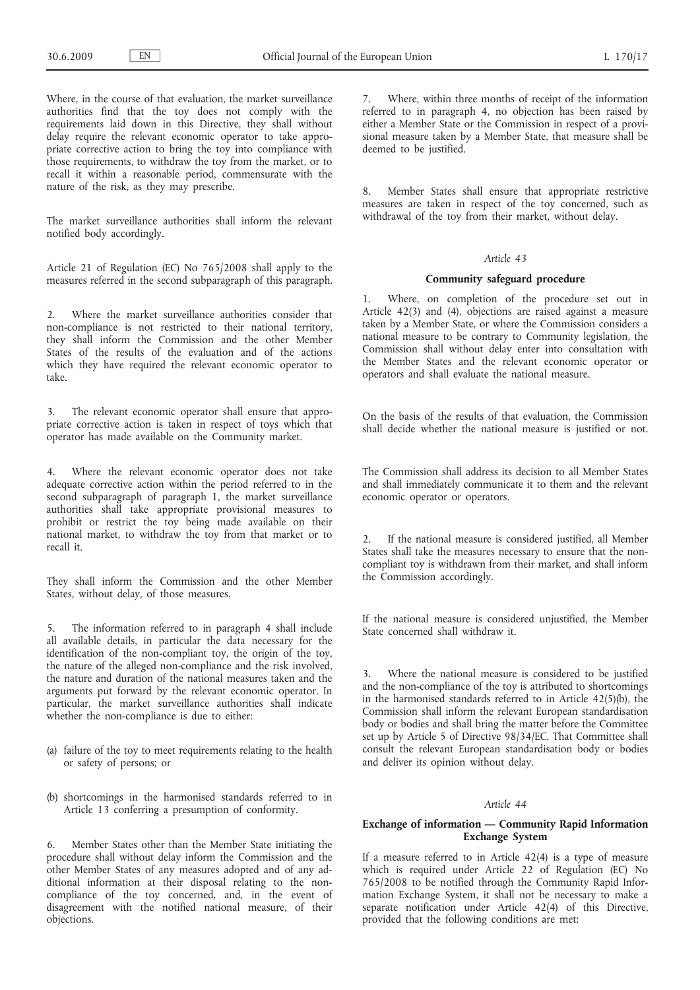Where, in the course of that evaluation, the market surveillance authorities find that the toy does not comply with the requirements laid down in this Directive, they shall without delay require the relevant economic operator to take appropriate corrective action to bring the toy into compliance with those requirements, to withdraw the toy from the market, or to recall it within a reasonable period, commensurate with the nature of the risk, as they may prescribe.

The market surveillance authorities shall inform the relevant notified body accordingly.

Article 21 of Regulation (EC) No 765/2008 shall apply to the measures referred in the second subparagraph of this paragraph.

2. Where the market surveillance authorities consider that non-compliance is not restricted to their national territory, they shall inform the Commission and the other Member States of the results of the evaluation and of the actions which they have required the relevant economic operator to take.

The relevant economic operator shall ensure that appropriate corrective action is taken in respect of toys which that operator has made available on the Community market.

Where the relevant economic operator does not take adequate corrective action within the period referred to in the second subparagraph of paragraph 1, the market surveillance authorities shall take appropriate provisional measures to prohibit or restrict the toy being made available on their national market, to withdraw the toy from that market or to recall it.

They shall inform the Commission and the other Member States, without delay, of those measures.

5. The information referred to in paragraph 4 shall include all available details, in particular the data necessary for the identification of the non-compliant toy, the origin of the toy, the nature of the alleged non-compliance and the risk involved, the nature and duration of the national measures taken and the arguments put forward by the relevant economic operator. In particular, the market surveillance authorities shall indicate whether the non-compliance is due to either:

- (a) failure of the toy to meet requirements relating to the health or safety of persons; or
- (b) shortcomings in the harmonised standards referred to in Article 13 conferring a presumption of conformity.

6. Member States other than the Member State initiating the procedure shall without delay inform the Commission and the other Member States of any measures adopted and of any additional information at their disposal relating to the noncompliance of the toy concerned, and, in the event of disagreement with the notified national measure, of their objections.

Where, within three months of receipt of the information referred to in paragraph 4, no objection has been raised by either a Member State or the Commission in respect of a provisional measure taken by a Member State, that measure shall be deemed to be justified.

8. Member States shall ensure that appropriate restrictive measures are taken in respect of the toy concerned, such as withdrawal of the toy from their market, without delay.

## *Article 43*

## **Community safeguard procedure**

1. Where, on completion of the procedure set out in Article 42(3) and (4), objections are raised against a measure taken by a Member State, or where the Commission considers a national measure to be contrary to Community legislation, the Commission shall without delay enter into consultation with the Member States and the relevant economic operator or operators and shall evaluate the national measure.

On the basis of the results of that evaluation, the Commission shall decide whether the national measure is justified or not.

The Commission shall address its decision to all Member States and shall immediately communicate it to them and the relevant economic operator or operators.

If the national measure is considered justified, all Member States shall take the measures necessary to ensure that the noncompliant toy is withdrawn from their market, and shall inform the Commission accordingly.

If the national measure is considered unjustified, the Member State concerned shall withdraw it.

3. Where the national measure is considered to be justified and the non-compliance of the toy is attributed to shortcomings in the harmonised standards referred to in Article 42(5)(b), the Commission shall inform the relevant European standardisation body or bodies and shall bring the matter before the Committee set up by Article 5 of Directive 98/34/EC. That Committee shall consult the relevant European standardisation body or bodies and deliver its opinion without delay.

## *Article 44*

## **Exchange of information — Community Rapid Information Exchange System**

If a measure referred to in Article 42(4) is a type of measure which is required under Article 22 of Regulation (EC) No 765/2008 to be notified through the Community Rapid Information Exchange System, it shall not be necessary to make a separate notification under Article 42(4) of this Directive, provided that the following conditions are met: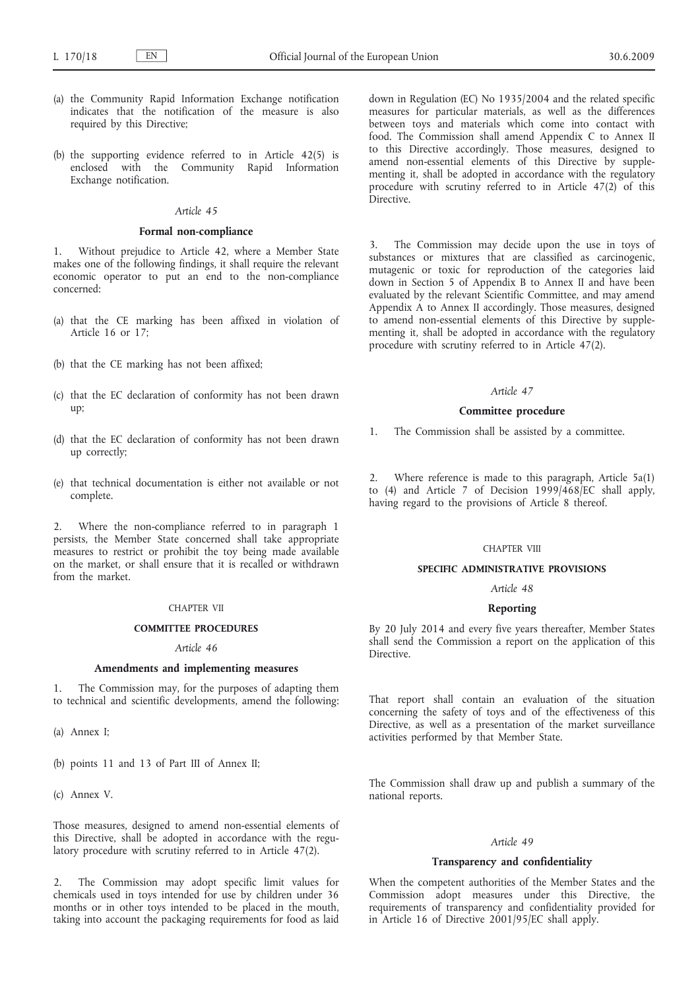- (a) the Community Rapid Information Exchange notification indicates that the notification of the measure is also required by this Directive;
- (b) the supporting evidence referred to in Article 42(5) is enclosed with the Community Rapid Information Exchange notification.

### *Article 45*

### **Formal non-compliance**

1. Without prejudice to Article 42, where a Member State makes one of the following findings, it shall require the relevant economic operator to put an end to the non-compliance concerned:

- (a) that the CE marking has been affixed in violation of Article 16 or 17;
- (b) that the CE marking has not been affixed;
- (c) that the EC declaration of conformity has not been drawn up;
- (d) that the EC declaration of conformity has not been drawn up correctly;
- (e) that technical documentation is either not available or not complete.

2. Where the non-compliance referred to in paragraph 1 persists, the Member State concerned shall take appropriate measures to restrict or prohibit the toy being made available on the market, or shall ensure that it is recalled or withdrawn from the market.

### CHAPTER VII

### **COMMITTEE PROCEDURES**

#### *Article 46*

### **Amendments and implementing measures**

1. The Commission may, for the purposes of adapting them to technical and scientific developments, amend the following:

(a) Annex I;

(b) points 11 and 13 of Part III of Annex II;

(c) Annex V.

Those measures, designed to amend non-essential elements of this Directive, shall be adopted in accordance with the regulatory procedure with scrutiny referred to in Article 47(2).

2. The Commission may adopt specific limit values for chemicals used in toys intended for use by children under 36 months or in other toys intended to be placed in the mouth, taking into account the packaging requirements for food as laid

down in Regulation (EC) No 1935/2004 and the related specific measures for particular materials, as well as the differences between toys and materials which come into contact with food. The Commission shall amend Appendix C to Annex II to this Directive accordingly. Those measures, designed to amend non-essential elements of this Directive by supplementing it, shall be adopted in accordance with the regulatory procedure with scrutiny referred to in Article 47(2) of this Directive.

3. The Commission may decide upon the use in toys of substances or mixtures that are classified as carcinogenic, mutagenic or toxic for reproduction of the categories laid down in Section 5 of Appendix B to Annex II and have been evaluated by the relevant Scientific Committee, and may amend Appendix A to Annex II accordingly. Those measures, designed to amend non-essential elements of this Directive by supplementing it, shall be adopted in accordance with the regulatory procedure with scrutiny referred to in Article 47(2).

#### *Article 47*

#### **Committee procedure**

1. The Commission shall be assisted by a committee.

2. Where reference is made to this paragraph, Article 5a(1) to (4) and Article 7 of Decision  $1999/468/EC$  shall apply, having regard to the provisions of Article 8 thereof.

#### CHAPTER VIII

### **SPECIFIC ADMINISTRATIVE PROVISIONS**

### *Article 48*

### **Reporting**

By 20 July 2014 and every five years thereafter, Member States shall send the Commission a report on the application of this Directive.

That report shall contain an evaluation of the situation concerning the safety of toys and of the effectiveness of this Directive, as well as a presentation of the market surveillance activities performed by that Member State.

The Commission shall draw up and publish a summary of the national reports.

### *Article 49*

### **Transparency and confidentiality**

When the competent authorities of the Member States and the Commission adopt measures under this Directive, the requirements of transparency and confidentiality provided for in Article 16 of Directive 2001/95/EC shall apply.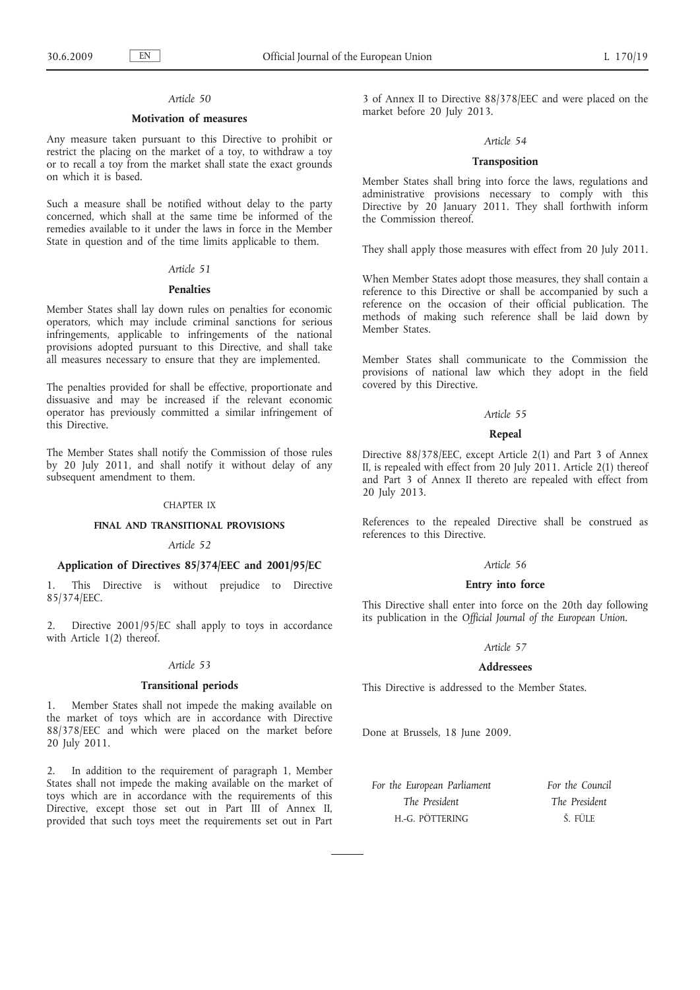## *Article 50*

### **Motivation of measures**

Any measure taken pursuant to this Directive to prohibit or restrict the placing on the market of a toy, to withdraw a toy or to recall a toy from the market shall state the exact grounds on which it is based.

Such a measure shall be notified without delay to the party concerned, which shall at the same time be informed of the remedies available to it under the laws in force in the Member State in question and of the time limits applicable to them.

#### *Article 51*

#### **Penalties**

Member States shall lay down rules on penalties for economic operators, which may include criminal sanctions for serious infringements, applicable to infringements of the national provisions adopted pursuant to this Directive, and shall take all measures necessary to ensure that they are implemented.

The penalties provided for shall be effective, proportionate and dissuasive and may be increased if the relevant economic operator has previously committed a similar infringement of this Directive.

The Member States shall notify the Commission of those rules by 20 July 2011, and shall notify it without delay of any subsequent amendment to them.

#### CHAPTER IX

### **FINAL AND TRANSITIONAL PROVISIONS**

## *Article 52*

## **Application of Directives 85/374/EEC and 2001/95/EC**

1. This Directive is without prejudice to Directive 85/374/EEC.

Directive 2001/95/EC shall apply to toys in accordance with Article 1(2) thereof.

### *Article 53*

### **Transitional periods**

1. Member States shall not impede the making available on the market of toys which are in accordance with Directive 88/378/EEC and which were placed on the market before 20 July 2011.

In addition to the requirement of paragraph 1, Member States shall not impede the making available on the market of toys which are in accordance with the requirements of this Directive, except those set out in Part III of Annex II, provided that such toys meet the requirements set out in Part 3 of Annex II to Directive 88/378/EEC and were placed on the market before 20 July 2013.

#### *Article 54*

### **Transposition**

Member States shall bring into force the laws, regulations and administrative provisions necessary to comply with this Directive by 20 January 2011. They shall forthwith inform the Commission thereof.

They shall apply those measures with effect from 20 July 2011.

When Member States adopt those measures, they shall contain a reference to this Directive or shall be accompanied by such a reference on the occasion of their official publication. The methods of making such reference shall be laid down by Member States.

Member States shall communicate to the Commission the provisions of national law which they adopt in the field covered by this Directive.

#### *Article 55*

### **Repeal**

Directive 88/378/EEC, except Article 2(1) and Part 3 of Annex II, is repealed with effect from 20 July 2011. Article 2(1) thereof and Part 3 of Annex II thereto are repealed with effect from 20 July 2013.

References to the repealed Directive shall be construed as references to this Directive.

### *Article 56*

## **Entry into force**

This Directive shall enter into force on the 20th day following its publication in the *Official Journal of the European Union*.

### *Article 57*

### **Addressees**

This Directive is addressed to the Member States.

Done at Brussels, 18 June 2009.

*For the European Parliament The President* H.-G. PÖTTERING

*For the Council The President* Š. FÜLE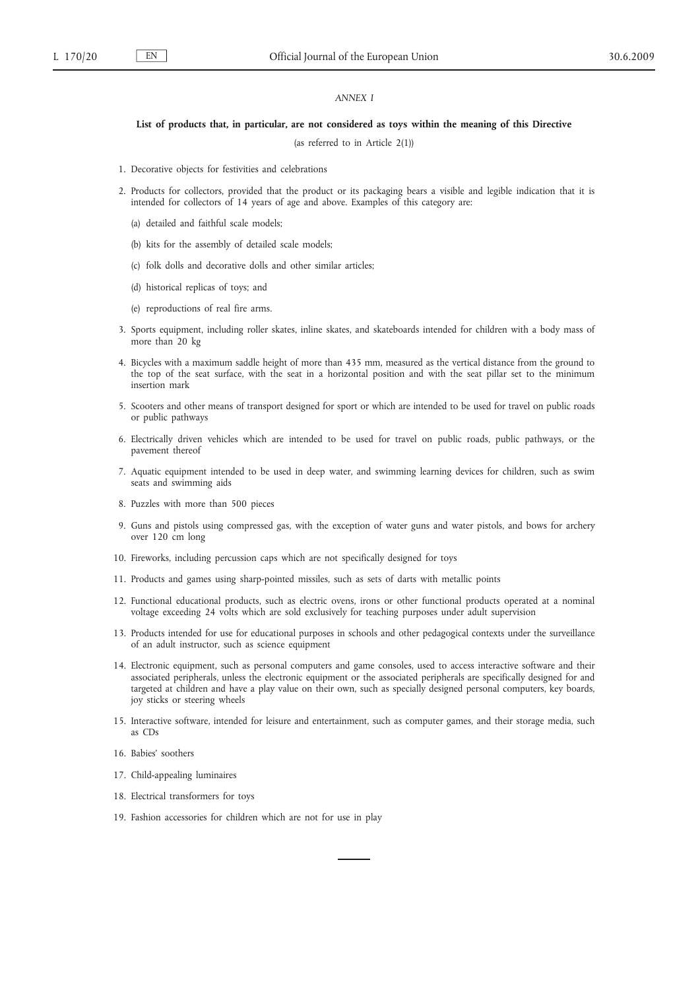### *ANNEX I*

#### **List of products that, in particular, are not considered as toys within the meaning of this Directive**

(as referred to in Article 2(1))

- 1. Decorative objects for festivities and celebrations
- 2. Products for collectors, provided that the product or its packaging bears a visible and legible indication that it is intended for collectors of 14 years of age and above. Examples of this category are:
	- (a) detailed and faithful scale models;
	- (b) kits for the assembly of detailed scale models;
	- (c) folk dolls and decorative dolls and other similar articles;
	- (d) historical replicas of toys; and
	- (e) reproductions of real fire arms.
- 3. Sports equipment, including roller skates, inline skates, and skateboards intended for children with a body mass of more than 20 kg
- 4. Bicycles with a maximum saddle height of more than 435 mm, measured as the vertical distance from the ground to the top of the seat surface, with the seat in a horizontal position and with the seat pillar set to the minimum insertion mark
- 5. Scooters and other means of transport designed for sport or which are intended to be used for travel on public roads or public pathways
- 6. Electrically driven vehicles which are intended to be used for travel on public roads, public pathways, or the pavement thereof
- 7. Aquatic equipment intended to be used in deep water, and swimming learning devices for children, such as swim seats and swimming aids
- 8. Puzzles with more than 500 pieces
- 9. Guns and pistols using compressed gas, with the exception of water guns and water pistols, and bows for archery over 120 cm long
- 10. Fireworks, including percussion caps which are not specifically designed for toys
- 11. Products and games using sharp-pointed missiles, such as sets of darts with metallic points
- 12. Functional educational products, such as electric ovens, irons or other functional products operated at a nominal voltage exceeding 24 volts which are sold exclusively for teaching purposes under adult supervision
- 13. Products intended for use for educational purposes in schools and other pedagogical contexts under the surveillance of an adult instructor, such as science equipment
- 14. Electronic equipment, such as personal computers and game consoles, used to access interactive software and their associated peripherals, unless the electronic equipment or the associated peripherals are specifically designed for and targeted at children and have a play value on their own, such as specially designed personal computers, key boards, joy sticks or steering wheels
- 15. Interactive software, intended for leisure and entertainment, such as computer games, and their storage media, such as CDs
- 16. Babies' soothers
- 17. Child-appealing luminaires
- 18. Electrical transformers for toys
- 19. Fashion accessories for children which are not for use in play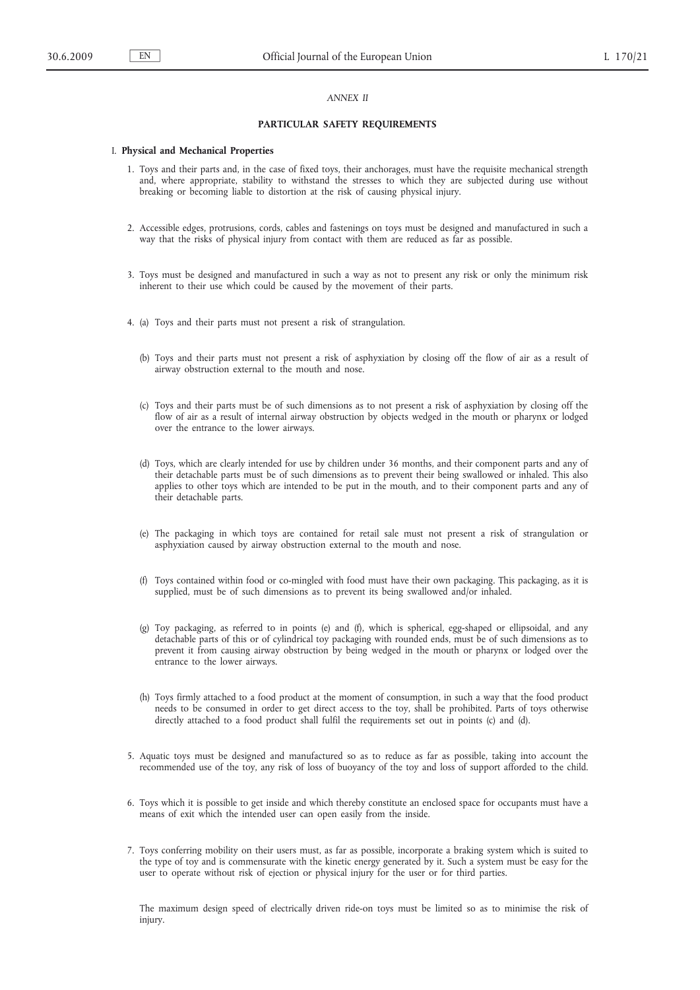### *ANNEX II*

### **PARTICULAR SAFETY REQUIREMENTS**

#### I. **Physical and Mechanical Properties**

- 1. Toys and their parts and, in the case of fixed toys, their anchorages, must have the requisite mechanical strength and, where appropriate, stability to withstand the stresses to which they are subjected during use without breaking or becoming liable to distortion at the risk of causing physical injury.
- 2. Accessible edges, protrusions, cords, cables and fastenings on toys must be designed and manufactured in such a way that the risks of physical injury from contact with them are reduced as far as possible.
- 3. Toys must be designed and manufactured in such a way as not to present any risk or only the minimum risk inherent to their use which could be caused by the movement of their parts.
- 4. (a) Toys and their parts must not present a risk of strangulation.
	- (b) Toys and their parts must not present a risk of asphyxiation by closing off the flow of air as a result of airway obstruction external to the mouth and nose.
	- (c) Toys and their parts must be of such dimensions as to not present a risk of asphyxiation by closing off the flow of air as a result of internal airway obstruction by objects wedged in the mouth or pharynx or lodged over the entrance to the lower airways.
	- (d) Toys, which are clearly intended for use by children under 36 months, and their component parts and any of their detachable parts must be of such dimensions as to prevent their being swallowed or inhaled. This also applies to other toys which are intended to be put in the mouth, and to their component parts and any of their detachable parts.
	- (e) The packaging in which toys are contained for retail sale must not present a risk of strangulation or asphyxiation caused by airway obstruction external to the mouth and nose.
	- (f) Toys contained within food or co-mingled with food must have their own packaging. This packaging, as it is supplied, must be of such dimensions as to prevent its being swallowed and/or inhaled.
	- (g) Toy packaging, as referred to in points (e) and (f), which is spherical, egg-shaped or ellipsoidal, and any detachable parts of this or of cylindrical toy packaging with rounded ends, must be of such dimensions as to prevent it from causing airway obstruction by being wedged in the mouth or pharynx or lodged over the entrance to the lower airways.
	- (h) Toys firmly attached to a food product at the moment of consumption, in such a way that the food product needs to be consumed in order to get direct access to the toy, shall be prohibited. Parts of toys otherwise directly attached to a food product shall fulfil the requirements set out in points (c) and (d).
- 5. Aquatic toys must be designed and manufactured so as to reduce as far as possible, taking into account the recommended use of the toy, any risk of loss of buoyancy of the toy and loss of support afforded to the child.
- 6. Toys which it is possible to get inside and which thereby constitute an enclosed space for occupants must have a means of exit which the intended user can open easily from the inside.
- 7. Toys conferring mobility on their users must, as far as possible, incorporate a braking system which is suited to the type of toy and is commensurate with the kinetic energy generated by it. Such a system must be easy for the user to operate without risk of ejection or physical injury for the user or for third parties.

The maximum design speed of electrically driven ride-on toys must be limited so as to minimise the risk of injury.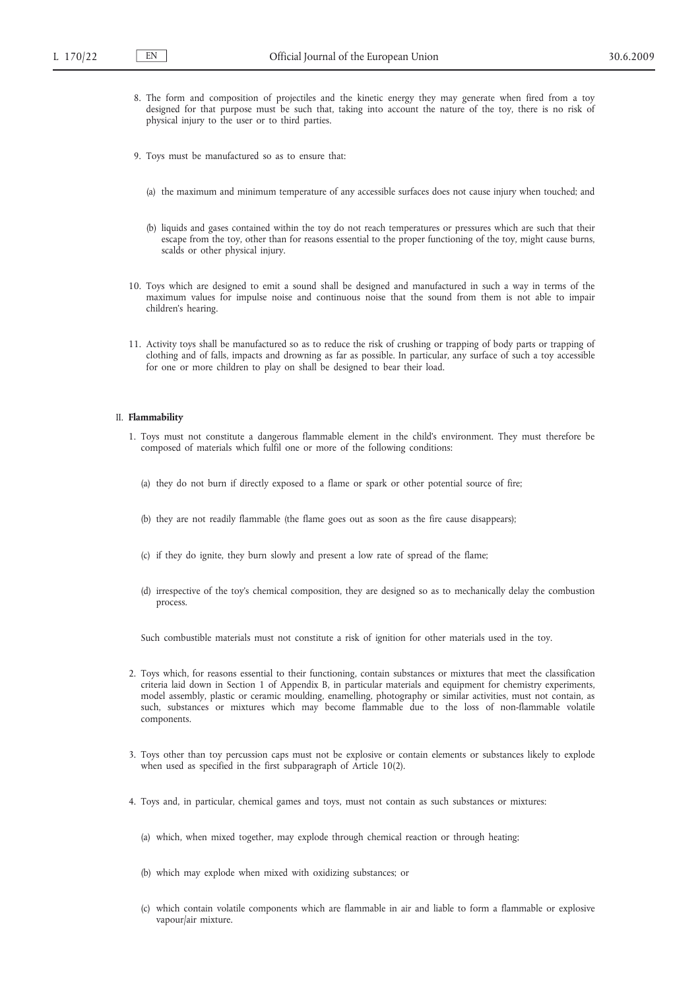- 8. The form and composition of projectiles and the kinetic energy they may generate when fired from a toy designed for that purpose must be such that, taking into account the nature of the toy, there is no risk of physical injury to the user or to third parties.
- 9. Toys must be manufactured so as to ensure that:
	- (a) the maximum and minimum temperature of any accessible surfaces does not cause injury when touched; and
	- (b) liquids and gases contained within the toy do not reach temperatures or pressures which are such that their escape from the toy, other than for reasons essential to the proper functioning of the toy, might cause burns, scalds or other physical injury.
- 10. Toys which are designed to emit a sound shall be designed and manufactured in such a way in terms of the maximum values for impulse noise and continuous noise that the sound from them is not able to impair children's hearing.
- 11. Activity toys shall be manufactured so as to reduce the risk of crushing or trapping of body parts or trapping of clothing and of falls, impacts and drowning as far as possible. In particular, any surface of such a toy accessible for one or more children to play on shall be designed to bear their load.

#### II. **Flammability**

- 1. Toys must not constitute a dangerous flammable element in the child's environment. They must therefore be composed of materials which fulfil one or more of the following conditions:
	- (a) they do not burn if directly exposed to a flame or spark or other potential source of fire;
	- (b) they are not readily flammable (the flame goes out as soon as the fire cause disappears);
	- (c) if they do ignite, they burn slowly and present a low rate of spread of the flame;
	- (d) irrespective of the toy's chemical composition, they are designed so as to mechanically delay the combustion process.

Such combustible materials must not constitute a risk of ignition for other materials used in the toy.

- 2. Toys which, for reasons essential to their functioning, contain substances or mixtures that meet the classification criteria laid down in Section 1 of Appendix B, in particular materials and equipment for chemistry experiments, model assembly, plastic or ceramic moulding, enamelling, photography or similar activities, must not contain, as such, substances or mixtures which may become flammable due to the loss of non-flammable volatile components.
- 3. Toys other than toy percussion caps must not be explosive or contain elements or substances likely to explode when used as specified in the first subparagraph of Article 10(2).
- 4. Toys and, in particular, chemical games and toys, must not contain as such substances or mixtures:
	- (a) which, when mixed together, may explode through chemical reaction or through heating;
	- (b) which may explode when mixed with oxidizing substances; or
	- (c) which contain volatile components which are flammable in air and liable to form a flammable or explosive vapour/air mixture.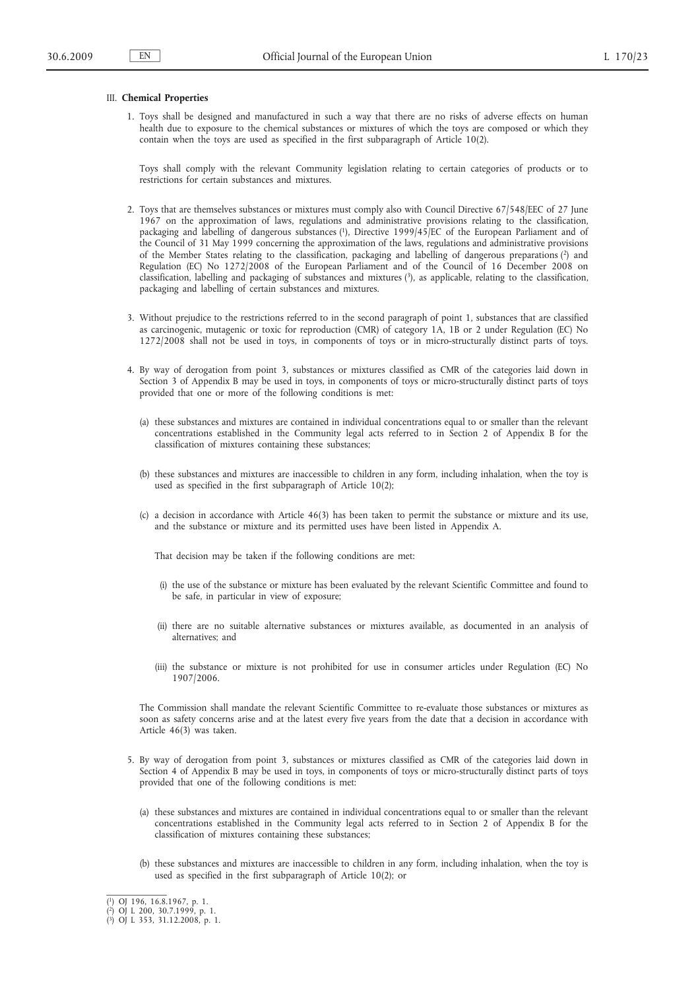### III. **Chemical Properties**

1. Toys shall be designed and manufactured in such a way that there are no risks of adverse effects on human health due to exposure to the chemical substances or mixtures of which the toys are composed or which they contain when the toys are used as specified in the first subparagraph of Article 10(2).

Toys shall comply with the relevant Community legislation relating to certain categories of products or to restrictions for certain substances and mixtures.

- 2. Toys that are themselves substances or mixtures must comply also with Council Directive 67/548/EEC of 27 June 1967 on the approximation of laws, regulations and administrative provisions relating to the classification, packaging and labelling of dangerous substances (1), Directive 1999/45/EC of the European Parliament and of the Council of 31 May 1999 concerning the approximation of the laws, regulations and administrative provisions of the Member States relating to the classification, packaging and labelling of dangerous preparations (2) and Regulation (EC) No 1272/2008 of the European Parliament and of the Council of 16 December 2008 on classification, labelling and packaging of substances and mixtures (3), as applicable, relating to the classification, packaging and labelling of certain substances and mixtures.
- 3. Without prejudice to the restrictions referred to in the second paragraph of point 1, substances that are classified as carcinogenic, mutagenic or toxic for reproduction (CMR) of category 1A, 1B or 2 under Regulation (EC) No 1272/2008 shall not be used in toys, in components of toys or in micro-structurally distinct parts of toys.
- 4. By way of derogation from point 3, substances or mixtures classified as CMR of the categories laid down in Section 3 of Appendix B may be used in toys, in components of toys or micro-structurally distinct parts of toys provided that one or more of the following conditions is met:
	- (a) these substances and mixtures are contained in individual concentrations equal to or smaller than the relevant concentrations established in the Community legal acts referred to in Section 2 of Appendix B for the classification of mixtures containing these substances;
	- (b) these substances and mixtures are inaccessible to children in any form, including inhalation, when the toy is used as specified in the first subparagraph of Article 10(2);
	- (c) a decision in accordance with Article 46(3) has been taken to permit the substance or mixture and its use, and the substance or mixture and its permitted uses have been listed in Appendix A.

That decision may be taken if the following conditions are met:

- (i) the use of the substance or mixture has been evaluated by the relevant Scientific Committee and found to be safe, in particular in view of exposure;
- (ii) there are no suitable alternative substances or mixtures available, as documented in an analysis of alternatives; and
- (iii) the substance or mixture is not prohibited for use in consumer articles under Regulation (EC) No 1907/2006.

The Commission shall mandate the relevant Scientific Committee to re-evaluate those substances or mixtures as soon as safety concerns arise and at the latest every five years from the date that a decision in accordance with Article 46(3) was taken.

- 5. By way of derogation from point 3, substances or mixtures classified as CMR of the categories laid down in Section 4 of Appendix B may be used in toys, in components of toys or micro-structurally distinct parts of toys provided that one of the following conditions is met:
	- (a) these substances and mixtures are contained in individual concentrations equal to or smaller than the relevant concentrations established in the Community legal acts referred to in Section 2 of Appendix B for the classification of mixtures containing these substances;
	- (b) these substances and mixtures are inaccessible to children in any form, including inhalation, when the toy is used as specified in the first subparagraph of Article 10(2); or

<sup>(</sup> 1) OJ 196, 16.8.1967, p. 1.

<sup>(</sup> 2) OJ L 200, 30.7.1999, p. 1. ( 3) OJ L 353, 31.12.2008, p. 1.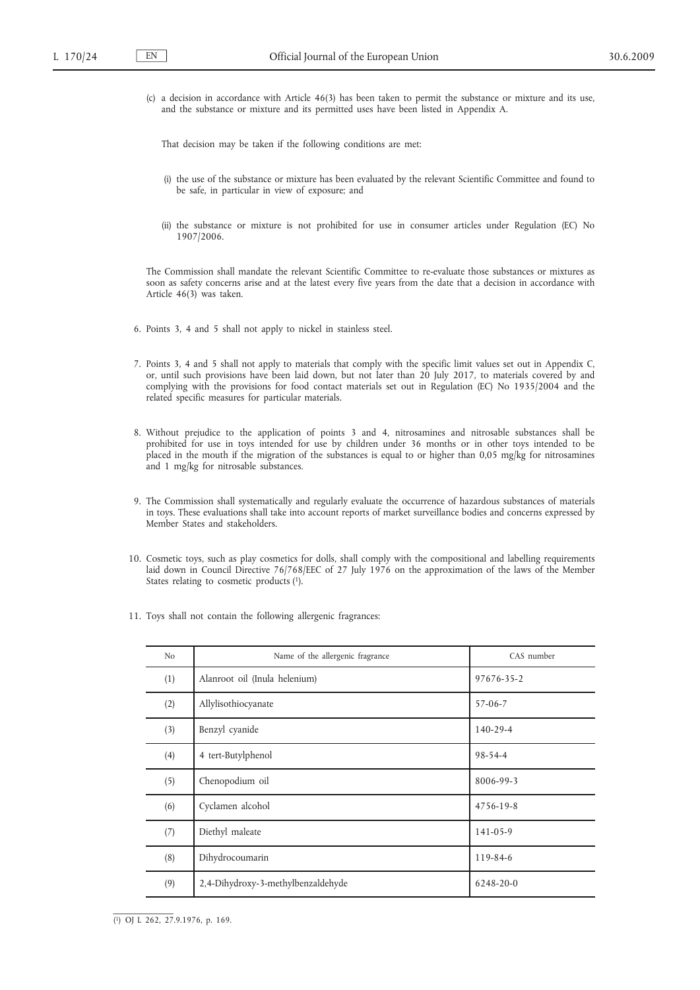(c) a decision in accordance with Article 46(3) has been taken to permit the substance or mixture and its use, and the substance or mixture and its permitted uses have been listed in Appendix A.

That decision may be taken if the following conditions are met:

- (i) the use of the substance or mixture has been evaluated by the relevant Scientific Committee and found to be safe, in particular in view of exposure; and
- (ii) the substance or mixture is not prohibited for use in consumer articles under Regulation (EC) No 1907/2006.

The Commission shall mandate the relevant Scientific Committee to re-evaluate those substances or mixtures as soon as safety concerns arise and at the latest every five years from the date that a decision in accordance with Article 46(3) was taken.

- 6. Points 3, 4 and 5 shall not apply to nickel in stainless steel.
- 7. Points 3, 4 and 5 shall not apply to materials that comply with the specific limit values set out in Appendix C, or, until such provisions have been laid down, but not later than 20 July 2017, to materials covered by and complying with the provisions for food contact materials set out in Regulation (EC) No 1935/2004 and the related specific measures for particular materials.
- 8. Without prejudice to the application of points 3 and 4, nitrosamines and nitrosable substances shall be prohibited for use in toys intended for use by children under 36 months or in other toys intended to be placed in the mouth if the migration of the substances is equal to or higher than 0,05 mg/kg for nitrosamines and 1 mg/kg for nitrosable substances.
- 9. The Commission shall systematically and regularly evaluate the occurrence of hazardous substances of materials in toys. These evaluations shall take into account reports of market surveillance bodies and concerns expressed by Member States and stakeholders.
- 10. Cosmetic toys, such as play cosmetics for dolls, shall comply with the compositional and labelling requirements laid down in Council Directive 76/768/EEC of 27 July 1976 on the approximation of the laws of the Member States relating to cosmetic products (1).
- 11. Toys shall not contain the following allergenic fragrances:

| N <sub>o</sub> | Name of the allergenic fragrance   | CAS number |
|----------------|------------------------------------|------------|
| (1)            | Alanroot oil (Inula helenium)      | 97676-35-2 |
| (2)            | Allylisothiocyanate                | $57-06-7$  |
| (3)            | Benzyl cyanide                     | 140-29-4   |
| (4)            | 4 tert-Butylphenol                 | 98-54-4    |
| (5)            | Chenopodium oil                    | 8006-99-3  |
| (6)            | Cyclamen alcohol                   | 4756-19-8  |
| (7)            | Diethyl maleate                    | 141-05-9   |
| (8)            | Dihydrocoumarin                    | 119-84-6   |
| (9)            | 2,4-Dihydroxy-3-methylbenzaldehyde | 6248-20-0  |

( 1) OJ L 262, 27.9.1976, p. 169.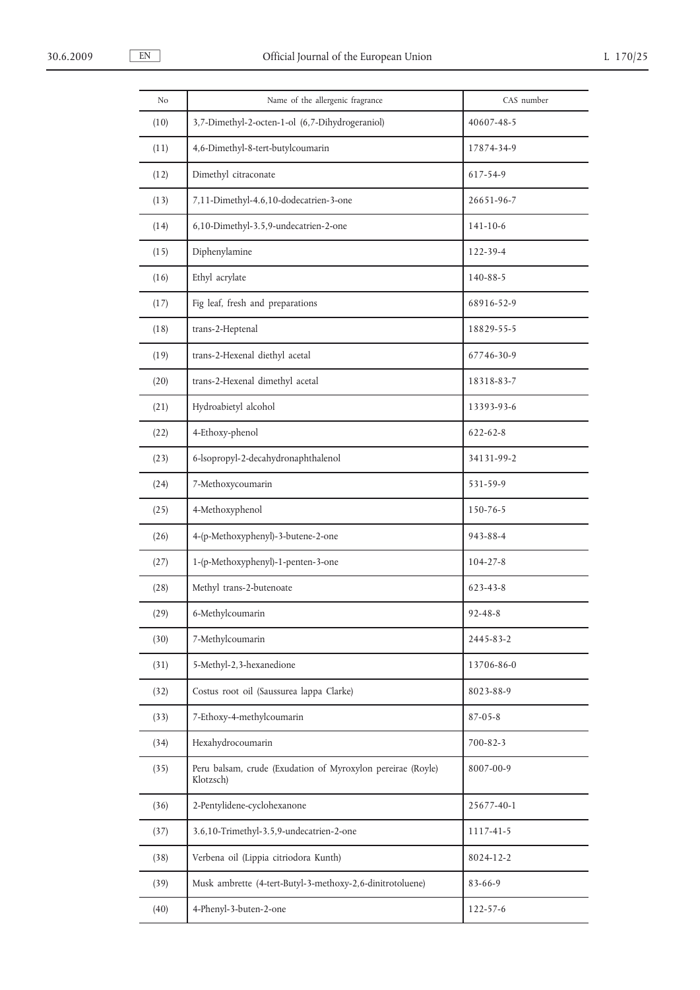| No   | Name of the allergenic fragrance                                         | CAS number     |
|------|--------------------------------------------------------------------------|----------------|
| (10) | 3,7-Dimethyl-2-octen-1-ol (6,7-Dihydrogeraniol)                          | 40607-48-5     |
| (11) | 4,6-Dimethyl-8-tert-butylcoumarin                                        | 17874-34-9     |
| (12) | Dimethyl citraconate                                                     | 617-54-9       |
| (13) | 7,11-Dimethyl-4.6,10-dodecatrien-3-one                                   | 26651-96-7     |
| (14) | 6,10-Dimethyl-3.5,9-undecatrien-2-one                                    | $141 - 10 - 6$ |
| (15) | Diphenylamine                                                            | 122-39-4       |
| (16) | Ethyl acrylate                                                           | 140-88-5       |
| (17) | Fig leaf, fresh and preparations                                         | 68916-52-9     |
| (18) | trans-2-Heptenal                                                         | 18829-55-5     |
| (19) | trans-2-Hexenal diethyl acetal                                           | 67746-30-9     |
| (20) | trans-2-Hexenal dimethyl acetal                                          | 18318-83-7     |
| (21) | Hydroabietyl alcohol                                                     | 13393-93-6     |
| (22) | 4-Ethoxy-phenol                                                          | 622-62-8       |
| (23) | 6-lsopropyl-2-decahydronaphthalenol                                      | 34131-99-2     |
| (24) | 7-Methoxycoumarin                                                        | 531-59-9       |
| (25) | 4-Methoxyphenol                                                          | 150-76-5       |
| (26) | 4-(p-Methoxyphenyl)-3-butene-2-one                                       | 943-88-4       |
| (27) | 1-(p-Methoxyphenyl)-1-penten-3-one                                       | $104 - 27 - 8$ |
| (28) | Methyl trans-2-butenoate                                                 | 623-43-8       |
| (29) | 6-Methylcoumarin                                                         | 92-48-8        |
| (30) | 7-Methylcoumarin                                                         | 2445-83-2      |
| (31) | 5-Methyl-2,3-hexanedione                                                 | 13706-86-0     |
| (32) | Costus root oil (Saussurea lappa Clarke)                                 | 8023-88-9      |
| (33) | 7-Ethoxy-4-methylcoumarin                                                | $87 - 05 - 8$  |
| (34) | Hexahydrocoumarin                                                        | 700-82-3       |
| (35) | Peru balsam, crude (Exudation of Myroxylon pereirae (Royle)<br>Klotzsch) | 8007-00-9      |
| (36) | 2-Pentylidene-cyclohexanone                                              | 25677-40-1     |
| (37) | 3.6,10-Trimethyl-3.5,9-undecatrien-2-one                                 | 1117-41-5      |
| (38) | Verbena oil (Lippia citriodora Kunth)                                    | 8024-12-2      |
| (39) | Musk ambrette (4-tert-Butyl-3-methoxy-2,6-dinitrotoluene)                | $83 - 66 - 9$  |
| (40) | 4-Phenyl-3-buten-2-one                                                   | 122-57-6       |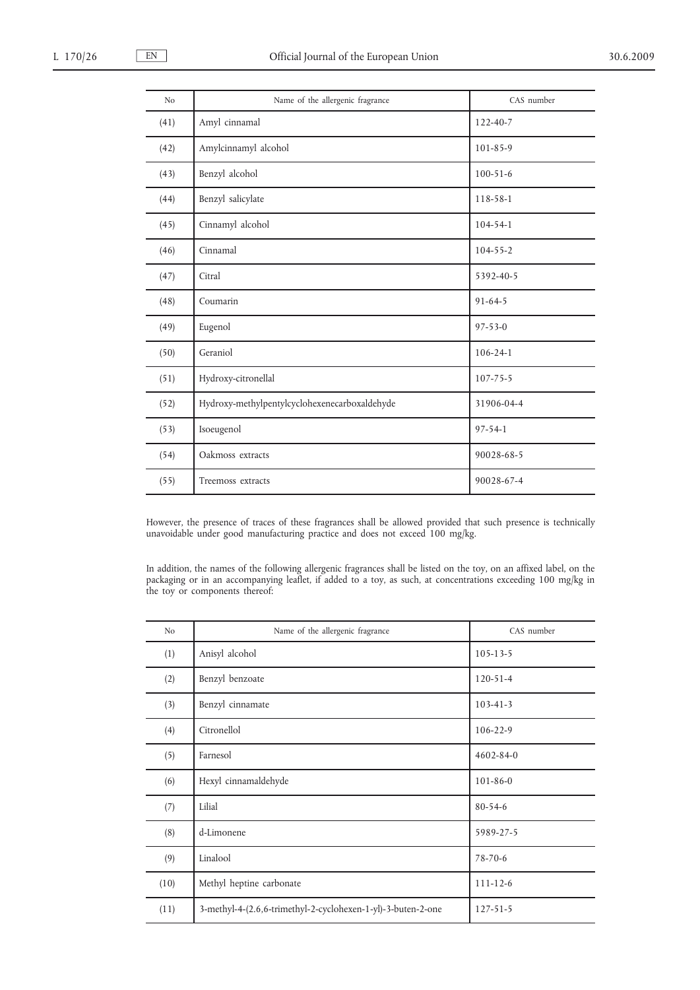| N <sub>o</sub> | Name of the allergenic fragrance              | CAS number     |
|----------------|-----------------------------------------------|----------------|
| (41)           | Amyl cinnamal                                 | 122-40-7       |
| (42)           | Amylcinnamyl alcohol                          | $101 - 85 - 9$ |
| (43)           | Benzyl alcohol                                | $100 - 51 - 6$ |
| (44)           | Benzyl salicylate                             | 118-58-1       |
| (45)           | Cinnamyl alcohol                              | 104-54-1       |
| (46)           | Cinnamal                                      | $104 - 55 - 2$ |
| (47)           | Citral                                        | 5392-40-5      |
| (48)           | Coumarin                                      | $91 - 64 - 5$  |
| (49)           | Eugenol                                       | $97 - 53 - 0$  |
| (50)           | Geraniol                                      | $106 - 24 - 1$ |
| (51)           | Hydroxy-citronellal                           | $107 - 75 - 5$ |
| (52)           | Hydroxy-methylpentylcyclohexenecarboxaldehyde | 31906-04-4     |
| (53)           | Isoeugenol                                    | $97 - 54 - 1$  |
| (54)           | Oakmoss extracts                              | 90028-68-5     |
| (55)           | Treemoss extracts                             | 90028-67-4     |

However, the presence of traces of these fragrances shall be allowed provided that such presence is technically unavoidable under good manufacturing practice and does not exceed 100 mg/kg.

In addition, the names of the following allergenic fragrances shall be listed on the toy, on an affixed label, on the packaging or in an accompanying leaflet, if added to a toy, as such, at concentrations exceeding 100 mg/kg in the toy or components thereof:

| N <sub>o</sub> | Name of the allergenic fragrance                             | CAS number      |
|----------------|--------------------------------------------------------------|-----------------|
| (1)            | Anisyl alcohol                                               | $105 - 13 - 5$  |
| (2)            | Benzyl benzoate                                              | $120 - 51 - 4$  |
| (3)            | Benzyl cinnamate                                             | $103 - 41 - 3$  |
| (4)            | Citronellol                                                  | $106 - 22 - 9$  |
| (5)            | Farnesol                                                     | $4602 - 84 - 0$ |
| (6)            | Hexyl cinnamaldehyde                                         | $101 - 86 - 0$  |
| (7)            | Lilial                                                       | $80 - 54 - 6$   |
| (8)            | d-Limonene                                                   | 5989-27-5       |
| (9)            | Linalool                                                     | $78 - 70 - 6$   |
| (10)           | Methyl heptine carbonate                                     | $111 - 12 - 6$  |
| (11)           | 3-methyl-4-(2.6,6-trimethyl-2-cyclohexen-1-yl)-3-buten-2-one | 127-51-5        |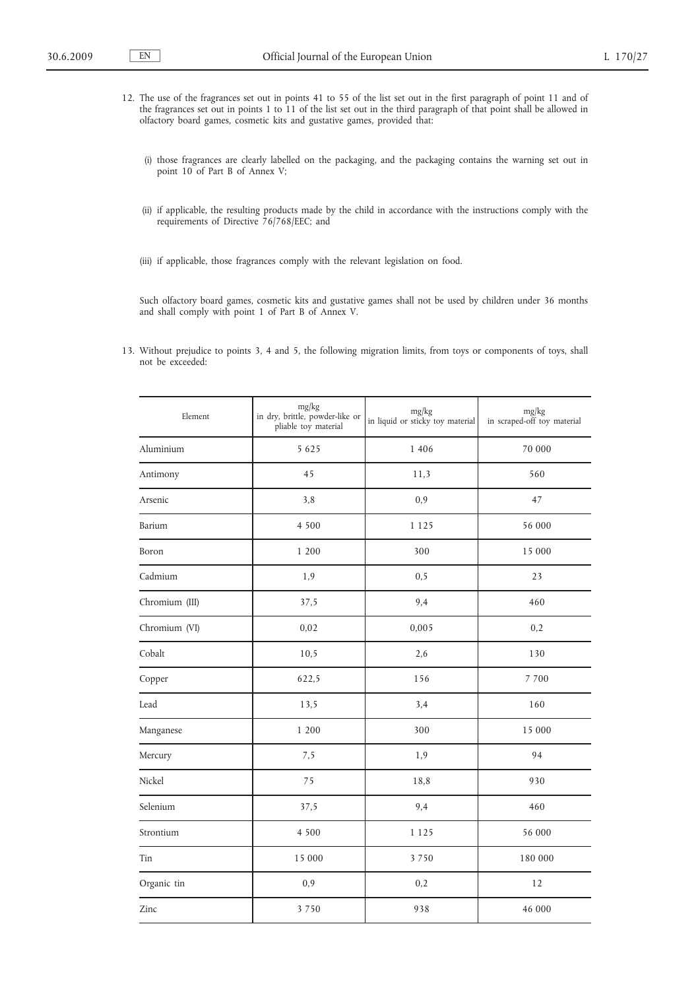- 12. The use of the fragrances set out in points 41 to 55 of the list set out in the first paragraph of point 11 and of the fragrances set out in points 1 to 11 of the list set out in the third paragraph of that point shall be allowed in olfactory board games, cosmetic kits and gustative games, provided that:
	- (i) those fragrances are clearly labelled on the packaging, and the packaging contains the warning set out in point 10 of Part B of Annex V;
	- (ii) if applicable, the resulting products made by the child in accordance with the instructions comply with the requirements of Directive 76/768/EEC; and
	- (iii) if applicable, those fragrances comply with the relevant legislation on food.

Such olfactory board games, cosmetic kits and gustative games shall not be used by children under 36 months and shall comply with point 1 of Part B of Annex V.

13. Without prejudice to points 3, 4 and 5, the following migration limits, from toys or components of toys, shall not be exceeded:

| Element        | mg/kg<br>in dry, brittle, powder-like or<br>pliable toy material | mg/kg<br>in liquid or sticky toy material | mg/kg<br>in scraped-off toy material |
|----------------|------------------------------------------------------------------|-------------------------------------------|--------------------------------------|
| Aluminium      | 5 6 2 5                                                          | 1 4 0 6                                   | 70 000                               |
| Antimony       | 45                                                               | 11,3                                      | 560                                  |
| Arsenic        | 3,8                                                              | 0,9                                       | 47                                   |
| Barium         | 4 5 0 0                                                          | 1 1 2 5                                   | 56 000                               |
| Boron          | 1 200                                                            | 300                                       | 15 000                               |
| Cadmium        | 1,9                                                              | 0, 5                                      | 23                                   |
| Chromium (III) | 37,5                                                             | 9,4                                       | 460                                  |
| Chromium (VI)  | 0,02                                                             | 0,005                                     | 0,2                                  |
| Cobalt         | 10,5                                                             | 2,6                                       | 130                                  |
| Copper         | 622,5                                                            | 156                                       | 7 700                                |
| Lead           | 13,5                                                             | 3,4                                       | 160                                  |
| Manganese      | 1 200                                                            | 300                                       | 15 000                               |
| Mercury        | 7,5                                                              | 1,9                                       | 94                                   |
| Nickel         | 75                                                               | 18,8                                      | 930                                  |
| Selenium       | 37,5                                                             | 9,4                                       | 460                                  |
| Strontium      | 4 5 0 0                                                          | 1 1 2 5                                   | 56 000                               |
| Tin            | 15 000                                                           | 3750                                      | 180 000                              |
| Organic tin    | 0,9                                                              | 0,2                                       | 12                                   |
| Zinc           | 3750                                                             | 938                                       | 46 000                               |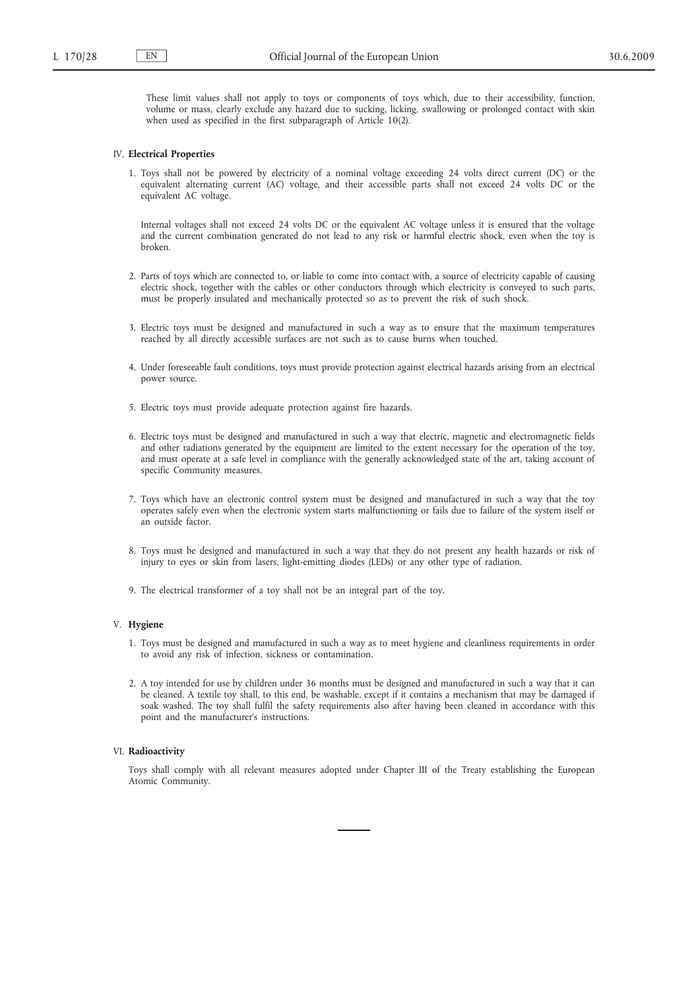These limit values shall not apply to toys or components of toys which, due to their accessibility, function, volume or mass, clearly exclude any hazard due to sucking, licking, swallowing or prolonged contact with skin when used as specified in the first subparagraph of Article 10(2).

#### IV. **Electrical Properties**

1. Toys shall not be powered by electricity of a nominal voltage exceeding 24 volts direct current (DC) or the equivalent alternating current (AC) voltage, and their accessible parts shall not exceed 24 volts DC or the equivalent AC voltage.

Internal voltages shall not exceed 24 volts DC or the equivalent AC voltage unless it is ensured that the voltage and the current combination generated do not lead to any risk or harmful electric shock, even when the toy is broken.

- 2. Parts of toys which are connected to, or liable to come into contact with, a source of electricity capable of causing electric shock, together with the cables or other conductors through which electricity is conveyed to such parts, must be properly insulated and mechanically protected so as to prevent the risk of such shock.
- 3. Electric toys must be designed and manufactured in such a way as to ensure that the maximum temperatures reached by all directly accessible surfaces are not such as to cause burns when touched.
- 4. Under foreseeable fault conditions, toys must provide protection against electrical hazards arising from an electrical power source.
- 5. Electric toys must provide adequate protection against fire hazards.
- 6. Electric toys must be designed and manufactured in such a way that electric, magnetic and electromagnetic fields and other radiations generated by the equipment are limited to the extent necessary for the operation of the toy, and must operate at a safe level in compliance with the generally acknowledged state of the art, taking account of specific Community measures.
- 7. Toys which have an electronic control system must be designed and manufactured in such a way that the toy operates safely even when the electronic system starts malfunctioning or fails due to failure of the system itself or an outside factor.
- 8. Toys must be designed and manufactured in such a way that they do not present any health hazards or risk of injury to eyes or skin from lasers, light-emitting diodes (LEDs) or any other type of radiation.
- 9. The electrical transformer of a toy shall not be an integral part of the toy.

### V. **Hygiene**

- 1. Toys must be designed and manufactured in such a way as to meet hygiene and cleanliness requirements in order to avoid any risk of infection, sickness or contamination.
- 2. A toy intended for use by children under 36 months must be designed and manufactured in such a way that it can be cleaned. A textile toy shall, to this end, be washable, except if it contains a mechanism that may be damaged if soak washed. The toy shall fulfil the safety requirements also after having been cleaned in accordance with this point and the manufacturer's instructions.

#### VI. **Radioactivity**

Toys shall comply with all relevant measures adopted under Chapter III of the Treaty establishing the European Atomic Community.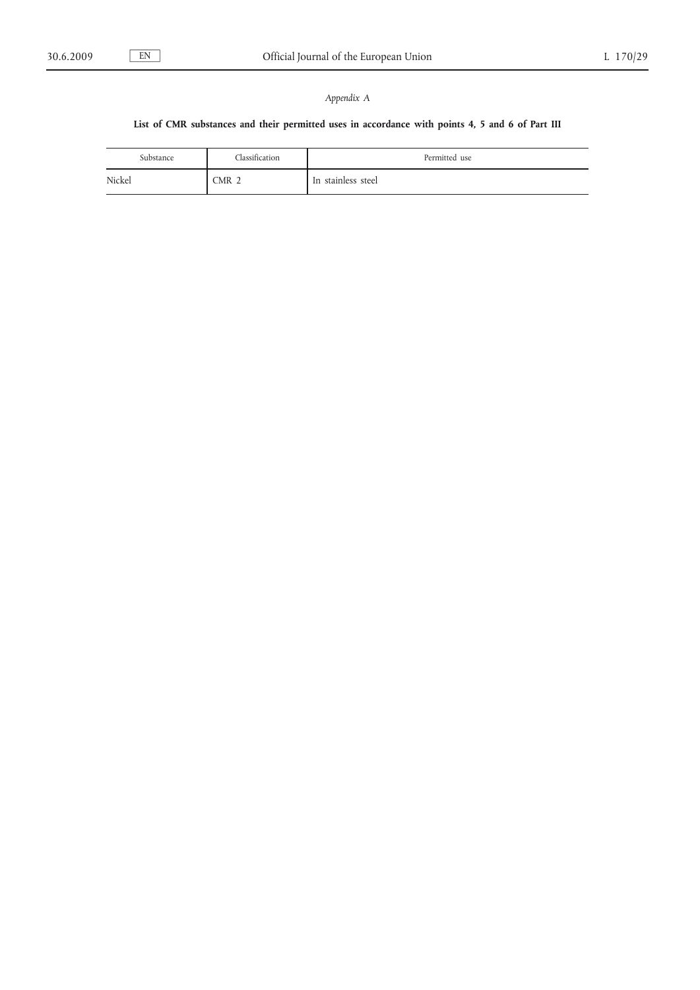# *Appendix A*

## **List of CMR substances and their permitted uses in accordance with points 4, 5 and 6 of Part III**

| Substance | Classification   | Permitted use      |
|-----------|------------------|--------------------|
| Nickel    | CMR <sub>2</sub> | In stainless steel |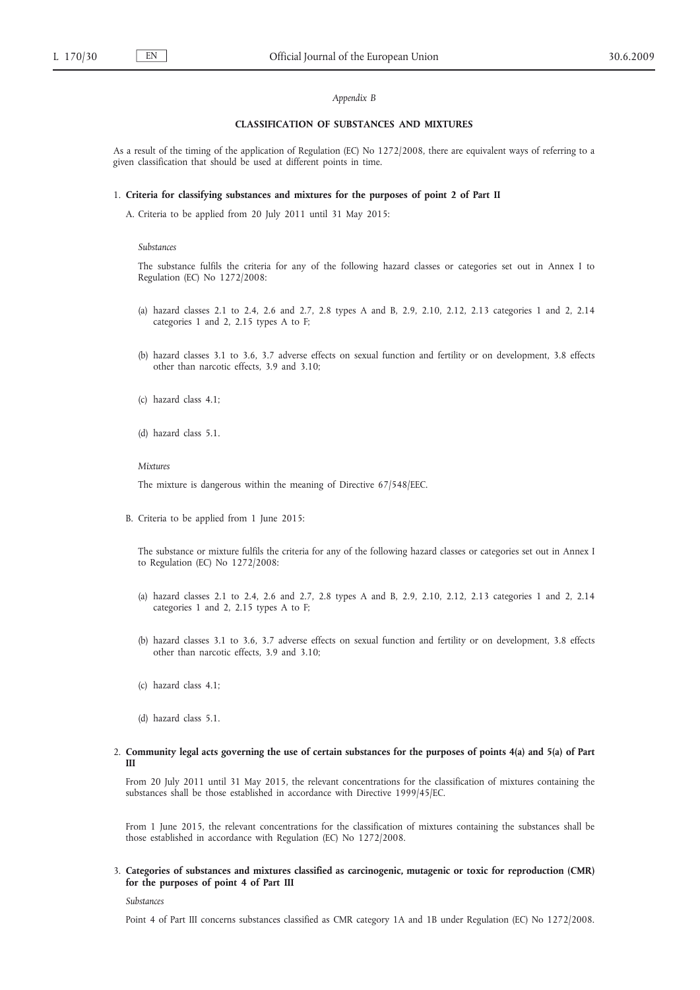#### *Appendix B*

### **CLASSIFICATION OF SUBSTANCES AND MIXTURES**

As a result of the timing of the application of Regulation (EC) No 1272/2008, there are equivalent ways of referring to a given classification that should be used at different points in time.

#### 1. **Criteria for classifying substances and mixtures for the purposes of point 2 of Part II**

A. Criteria to be applied from 20 July 2011 until 31 May 2015:

#### *Substances*

The substance fulfils the criteria for any of the following hazard classes or categories set out in Annex I to Regulation (EC) No 1272/2008:

- (a) hazard classes 2.1 to 2.4, 2.6 and 2.7, 2.8 types A and B, 2.9, 2.10, 2.12, 2.13 categories 1 and 2, 2.14 categories 1 and 2, 2.15 types A to F;
- (b) hazard classes 3.1 to 3.6, 3.7 adverse effects on sexual function and fertility or on development, 3.8 effects other than narcotic effects, 3.9 and 3.10;
- (c) hazard class 4.1;
- (d) hazard class 5.1.

#### *Mixtures*

The mixture is dangerous within the meaning of Directive 67/548/EEC.

B. Criteria to be applied from 1 June 2015:

The substance or mixture fulfils the criteria for any of the following hazard classes or categories set out in Annex I to Regulation (EC) No 1272/2008:

- (a) hazard classes 2.1 to 2.4, 2.6 and 2.7, 2.8 types A and B, 2.9, 2.10, 2.12, 2.13 categories 1 and 2, 2.14 categories 1 and 2, 2.15 types A to F;
- (b) hazard classes 3.1 to 3.6, 3.7 adverse effects on sexual function and fertility or on development, 3.8 effects other than narcotic effects, 3.9 and 3.10;
- (c) hazard class 4.1;
- (d) hazard class 5.1.

### 2. **Community legal acts governing the use of certain substances for the purposes of points 4(a) and 5(a) of Part III**

From 20 July 2011 until 31 May 2015, the relevant concentrations for the classification of mixtures containing the substances shall be those established in accordance with Directive 1999/45/EC.

From 1 June 2015, the relevant concentrations for the classification of mixtures containing the substances shall be those established in accordance with Regulation (EC) No 1272/2008.

3. **Categories of substances and mixtures classified as carcinogenic, mutagenic or toxic for reproduction (CMR) for the purposes of point 4 of Part III**

*Substances*

Point 4 of Part III concerns substances classified as CMR category 1A and 1B under Regulation (EC) No 1272/2008.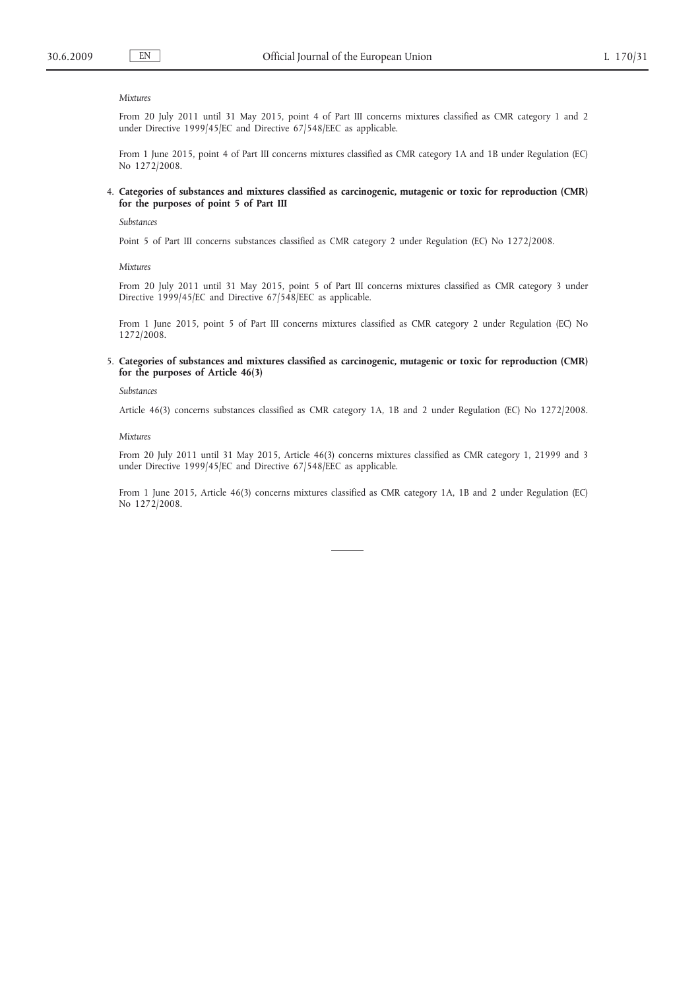#### *Mixtures*

From 20 July 2011 until 31 May 2015, point 4 of Part III concerns mixtures classified as CMR category 1 and 2 under Directive 1999/45/EC and Directive 67/548/EEC as applicable.

From 1 June 2015, point 4 of Part III concerns mixtures classified as CMR category 1A and 1B under Regulation (EC) No 1272/2008.

### 4. **Categories of substances and mixtures classified as carcinogenic, mutagenic or toxic for reproduction (CMR) for the purposes of point 5 of Part III**

### *Substances*

Point 5 of Part III concerns substances classified as CMR category 2 under Regulation (EC) No 1272/2008.

*Mixtures*

From 20 July 2011 until 31 May 2015, point 5 of Part III concerns mixtures classified as CMR category 3 under Directive 1999/45/EC and Directive 67/548/EEC as applicable.

From 1 June 2015, point 5 of Part III concerns mixtures classified as CMR category 2 under Regulation (EC) No 1272/2008.

#### 5. **Categories of substances and mixtures classified as carcinogenic, mutagenic or toxic for reproduction (CMR) for the purposes of Article 46(3)**

#### *Substances*

Article 46(3) concerns substances classified as CMR category 1A, 1B and 2 under Regulation (EC) No 1272/2008.

#### *Mixtures*

From 20 July 2011 until 31 May 2015, Article 46(3) concerns mixtures classified as CMR category 1, 21999 and 3 under Directive 1999/45/EC and Directive 67/548/EEC as applicable.

From 1 June 2015, Article 46(3) concerns mixtures classified as CMR category 1A, 1B and 2 under Regulation (EC) No 1272/2008.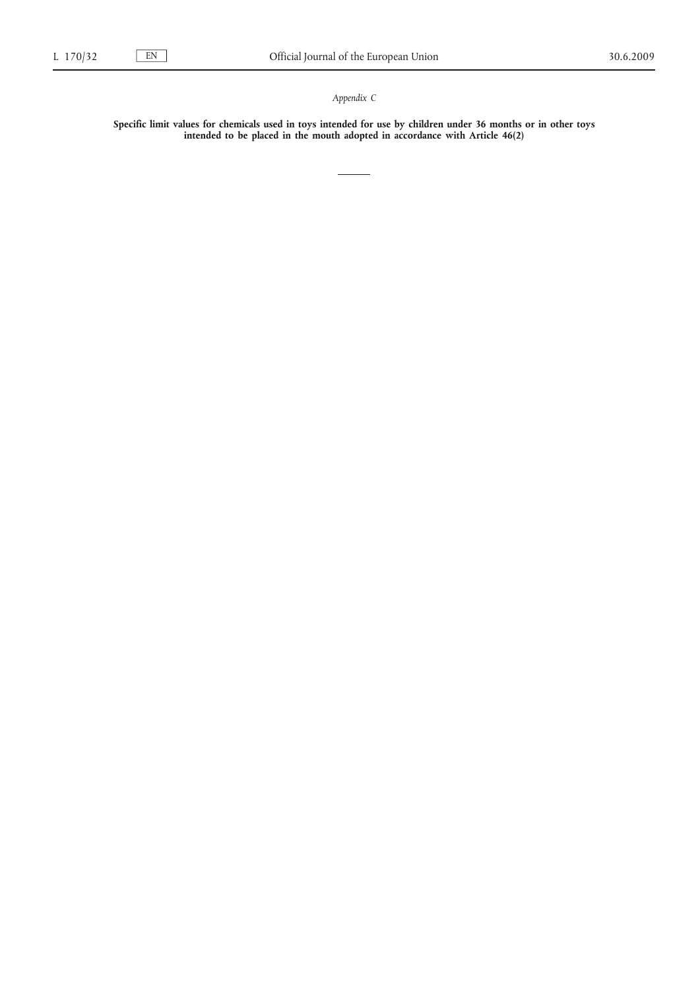*Appendix C*

**Specific limit values for chemicals used in toys intended for use by children under 36 months or in other toys intended to be placed in the mouth adopted in accordance with Article 46(2)**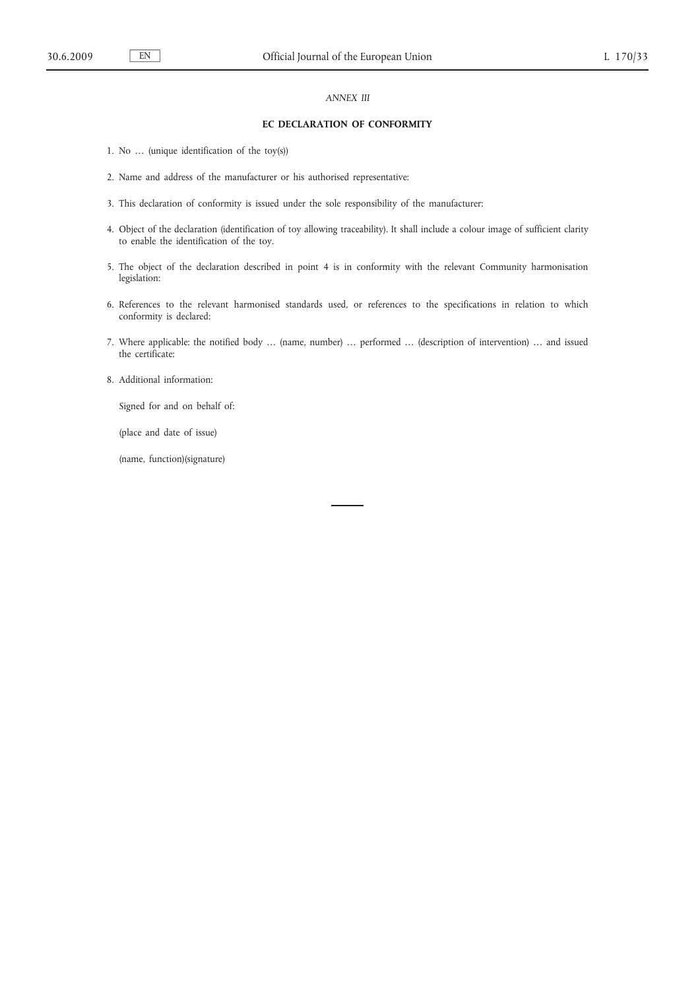## *ANNEX III*

### **EC DECLARATION OF CONFORMITY**

- 1. No … (unique identification of the toy(s))
- 2. Name and address of the manufacturer or his authorised representative:
- 3. This declaration of conformity is issued under the sole responsibility of the manufacturer:
- 4. Object of the declaration (identification of toy allowing traceability). It shall include a colour image of sufficient clarity to enable the identification of the toy.
- 5. The object of the declaration described in point 4 is in conformity with the relevant Community harmonisation legislation:
- 6. References to the relevant harmonised standards used, or references to the specifications in relation to which conformity is declared:
- 7. Where applicable: the notified body … (name, number) … performed … (description of intervention) … and issued the certificate:
- 8. Additional information:

Signed for and on behalf of:

(place and date of issue)

(name, function)(signature)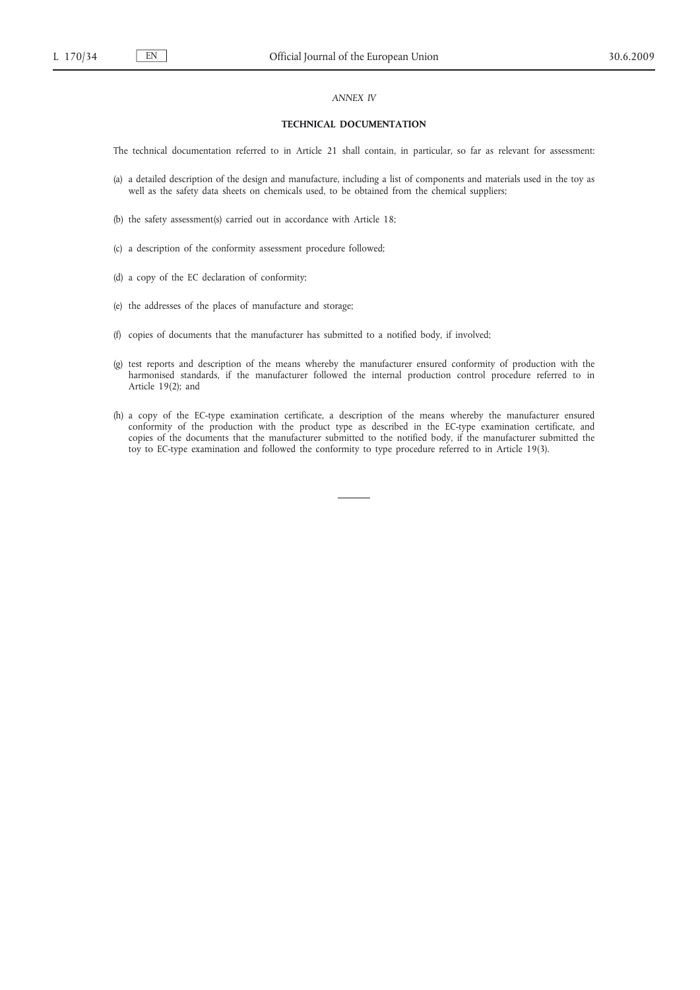### *ANNEX IV*

### **TECHNICAL DOCUMENTATION**

The technical documentation referred to in Article 21 shall contain, in particular, so far as relevant for assessment:

- (a) a detailed description of the design and manufacture, including a list of components and materials used in the toy as well as the safety data sheets on chemicals used, to be obtained from the chemical suppliers;
- (b) the safety assessment(s) carried out in accordance with Article 18;
- (c) a description of the conformity assessment procedure followed;
- (d) a copy of the EC declaration of conformity;
- (e) the addresses of the places of manufacture and storage;
- (f) copies of documents that the manufacturer has submitted to a notified body, if involved;
- (g) test reports and description of the means whereby the manufacturer ensured conformity of production with the harmonised standards, if the manufacturer followed the internal production control procedure referred to in Article 19(2); and
- (h) a copy of the EC-type examination certificate, a description of the means whereby the manufacturer ensured conformity of the production with the product type as described in the EC-type examination certificate, and copies of the documents that the manufacturer submitted to the notified body, if the manufacturer submitted the toy to EC-type examination and followed the conformity to type procedure referred to in Article 19(3).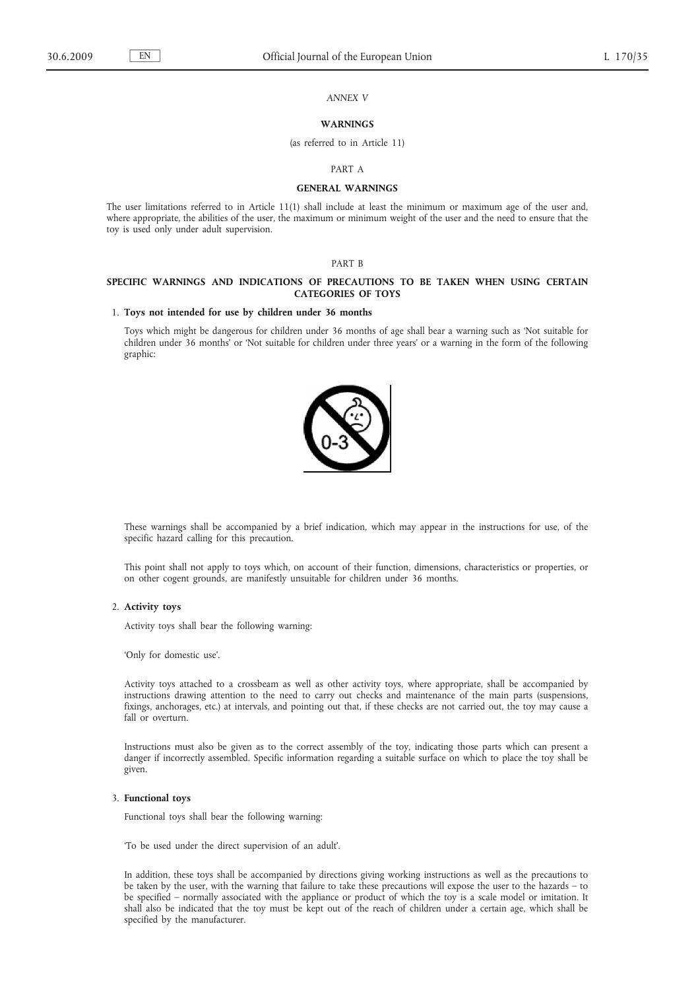*ANNEX V*

### **WARNINGS**

#### (as referred to in Article 11)

#### PART A

### **GENERAL WARNINGS**

The user limitations referred to in Article 11(1) shall include at least the minimum or maximum age of the user and, where appropriate, the abilities of the user, the maximum or minimum weight of the user and the need to ensure that the toy is used only under adult supervision.

### PART B

### **SPECIFIC WARNINGS AND INDICATIONS OF PRECAUTIONS TO BE TAKEN WHEN USING CERTAIN CATEGORIES OF TOYS**

#### 1. **Toys not intended for use by children under 36 months**

Toys which might be dangerous for children under 36 months of age shall bear a warning such as 'Not suitable for children under 36 months' or 'Not suitable for children under three years' or a warning in the form of the following graphic:



These warnings shall be accompanied by a brief indication, which may appear in the instructions for use, of the specific hazard calling for this precaution.

This point shall not apply to toys which, on account of their function, dimensions, characteristics or properties, or on other cogent grounds, are manifestly unsuitable for children under 36 months.

2. **Activity toys**

Activity toys shall bear the following warning:

'Only for domestic use'.

Activity toys attached to a crossbeam as well as other activity toys, where appropriate, shall be accompanied by instructions drawing attention to the need to carry out checks and maintenance of the main parts (suspensions, fixings, anchorages, etc.) at intervals, and pointing out that, if these checks are not carried out, the toy may cause a fall or overturn.

Instructions must also be given as to the correct assembly of the toy, indicating those parts which can present a danger if incorrectly assembled. Specific information regarding a suitable surface on which to place the toy shall be given.

### 3. **Functional toys**

Functional toys shall bear the following warning:

'To be used under the direct supervision of an adult'.

In addition, these toys shall be accompanied by directions giving working instructions as well as the precautions to be taken by the user, with the warning that failure to take these precautions will expose the user to the hazards – to be specified – normally associated with the appliance or product of which the toy is a scale model or imitation. It shall also be indicated that the toy must be kept out of the reach of children under a certain age, which shall be specified by the manufacturer.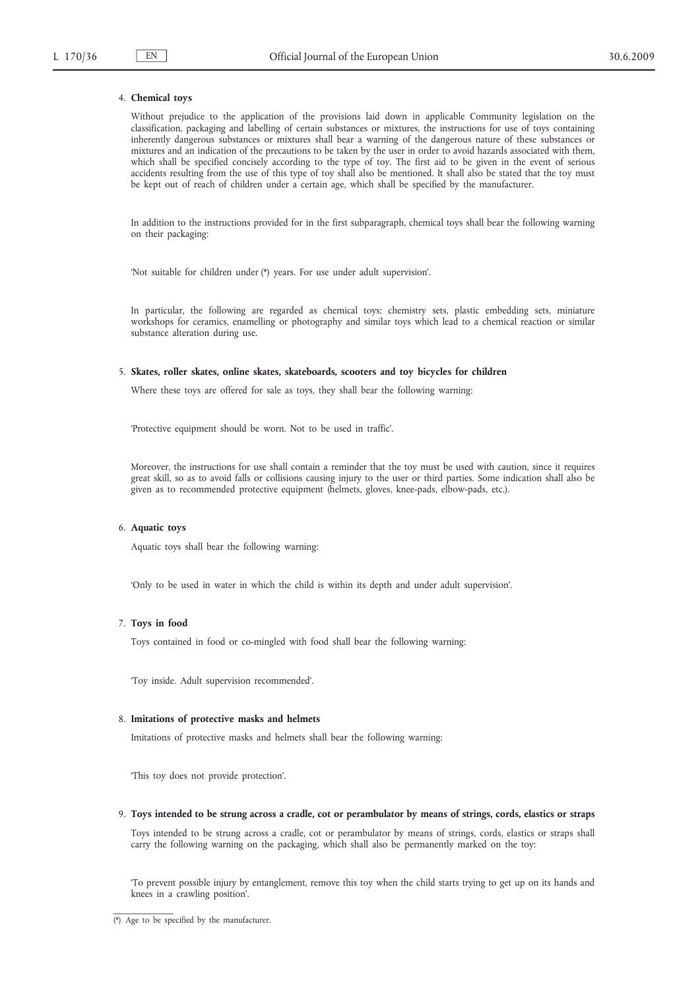### 4. **Chemical toys**

Without prejudice to the application of the provisions laid down in applicable Community legislation on the classification, packaging and labelling of certain substances or mixtures, the instructions for use of toys containing inherently dangerous substances or mixtures shall bear a warning of the dangerous nature of these substances or mixtures and an indication of the precautions to be taken by the user in order to avoid hazards associated with them, which shall be specified concisely according to the type of toy. The first aid to be given in the event of serious accidents resulting from the use of this type of toy shall also be mentioned. It shall also be stated that the toy must be kept out of reach of children under a certain age, which shall be specified by the manufacturer.

In addition to the instructions provided for in the first subparagraph, chemical toys shall bear the following warning on their packaging:

'Not suitable for children under (\*) years. For use under adult supervision'.

In particular, the following are regarded as chemical toys: chemistry sets, plastic embedding sets, miniature workshops for ceramics, enamelling or photography and similar toys which lead to a chemical reaction or similar substance alteration during use.

#### 5. **Skates, roller skates, online skates, skateboards, scooters and toy bicycles for children**

Where these toys are offered for sale as toys, they shall bear the following warning:

'Protective equipment should be worn. Not to be used in traffic'.

Moreover, the instructions for use shall contain a reminder that the toy must be used with caution, since it requires great skill, so as to avoid falls or collisions causing injury to the user or third parties. Some indication shall also be given as to recommended protective equipment (helmets, gloves, knee-pads, elbow-pads, etc.).

### 6. **Aquatic toys**

Aquatic toys shall bear the following warning:

'Only to be used in water in which the child is within its depth and under adult supervision'.

### 7. **Toys in food**

Toys contained in food or co-mingled with food shall bear the following warning:

'Toy inside. Adult supervision recommended'.

### 8. **Imitations of protective masks and helmets**

Imitations of protective masks and helmets shall bear the following warning:

'This toy does not provide protection'.

9. **Toys intended to be strung across a cradle, cot or perambulator by means of strings, cords, elastics or straps**

Toys intended to be strung across a cradle, cot or perambulator by means of strings, cords, elastics or straps shall carry the following warning on the packaging, which shall also be permanently marked on the toy:

'To prevent possible injury by entanglement, remove this toy when the child starts trying to get up on its hands and knees in a crawling position'.

 $\overline{(*)}$  Age to be specified by the manufacturer.